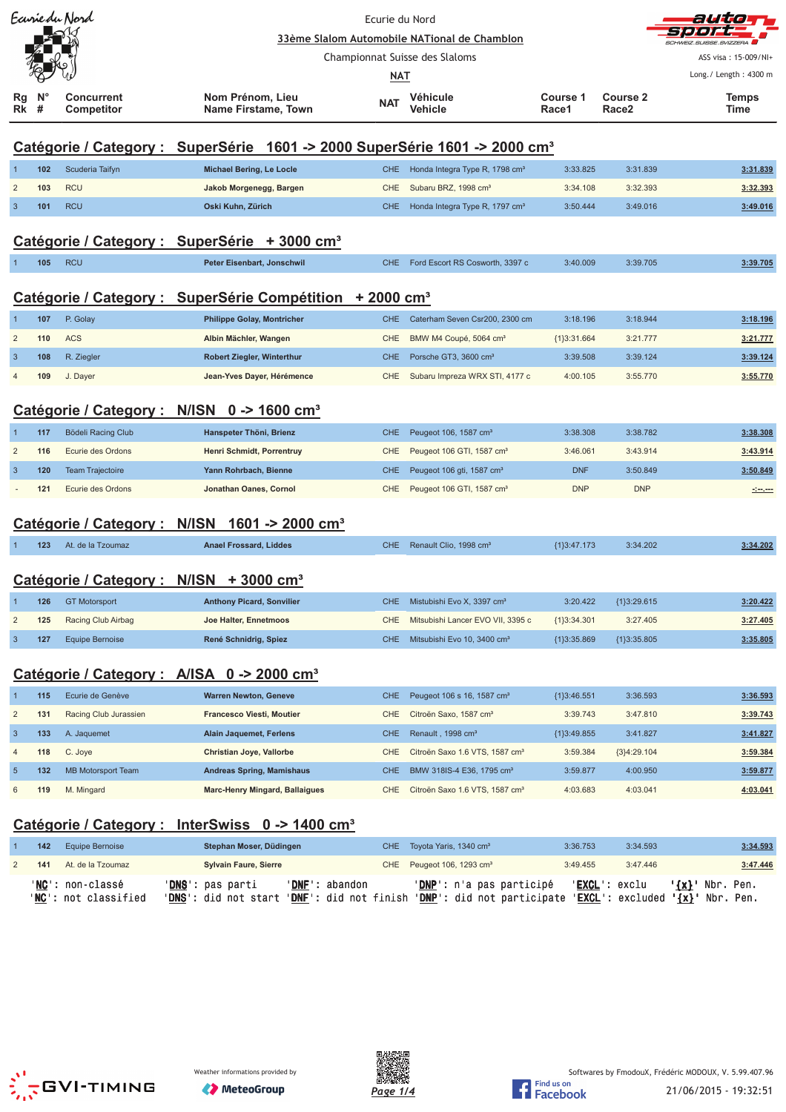|                |                     | Ecurie du Nord                                      | Ecurie du Nord<br>33ème Slalom Automobile NATional de Chamblon                                                                                            |                          |                                                                     |                      |                                      | auta                                                                                                                 |
|----------------|---------------------|-----------------------------------------------------|-----------------------------------------------------------------------------------------------------------------------------------------------------------|--------------------------|---------------------------------------------------------------------|----------------------|--------------------------------------|----------------------------------------------------------------------------------------------------------------------|
|                |                     |                                                     |                                                                                                                                                           |                          |                                                                     |                      |                                      |                                                                                                                      |
|                |                     |                                                     |                                                                                                                                                           |                          | Championnat Suisse des Slaloms                                      |                      |                                      | ASS visa: 15-009/NI+<br>Long./ Length: 4300 m                                                                        |
|                |                     |                                                     |                                                                                                                                                           | NAT                      |                                                                     |                      |                                      |                                                                                                                      |
| Rg<br>Rk       | N <sup>c</sup><br># | <b>Concurrent</b><br>Competitor                     | Nom Prénom, Lieu<br><b>Name Firstame, Town</b>                                                                                                            | <b>NAT</b>               | Véhicule<br>Vehicle                                                 | Course 1<br>Race1    | <b>Course 2</b><br>Race <sub>2</sub> | Temps<br>Time                                                                                                        |
|                |                     |                                                     | Catégorie / Category : SuperSérie 1601 -> 2000 SuperSérie 1601 -> 2000 cm <sup>3</sup>                                                                    |                          |                                                                     |                      |                                      |                                                                                                                      |
|                | 102                 | Scuderia Taifyn                                     | Michael Bering, Le Locle                                                                                                                                  | <b>CHE</b>               | Honda Integra Type R, 1798 cm <sup>3</sup>                          | 3:33.825             | 3:31.839                             | 3:31.839                                                                                                             |
| $\overline{c}$ | 103                 | <b>RCU</b>                                          | Jakob Morgenegg, Bargen                                                                                                                                   | <b>CHE</b>               | Subaru BRZ, 1998 cm <sup>3</sup>                                    | 3:34.108             | 3:32.393                             | 3:32.393                                                                                                             |
| 3              | 101                 | <b>RCU</b>                                          | Oski Kuhn, Zürich                                                                                                                                         | CHE                      | Honda Integra Type R, 1797 cm <sup>3</sup>                          | 3:50.444             | 3:49.016                             | 3:49.016                                                                                                             |
|                |                     |                                                     | Catégorie / Category : SuperSérie + 3000 cm <sup>3</sup>                                                                                                  |                          |                                                                     |                      |                                      |                                                                                                                      |
|                | 105                 | <b>RCU</b>                                          | Peter Eisenbart, Jonschwil                                                                                                                                | CHE                      | Ford Escort RS Cosworth, 3397 c                                     | 3:40.009             | 3:39.705                             | 3:39.705                                                                                                             |
|                |                     |                                                     |                                                                                                                                                           |                          |                                                                     |                      |                                      |                                                                                                                      |
|                |                     |                                                     | Catégorie / Category : SuperSérie Compétition + 2000 cm <sup>3</sup>                                                                                      |                          |                                                                     |                      |                                      |                                                                                                                      |
|                | 107                 | P. Golay                                            | <b>Philippe Golay, Montricher</b>                                                                                                                         | <b>CHE</b>               | Caterham Seven Csr200, 2300 cm                                      | 3:18.196             | 3:18.944                             | 3:18.196                                                                                                             |
| $\overline{2}$ | 110                 | <b>ACS</b>                                          | Albin Mächler, Wangen                                                                                                                                     | CHE                      | BMW M4 Coupé, 5064 cm <sup>3</sup>                                  | ${1}3:31.664$        | 3:21.777                             | 3:21.777                                                                                                             |
| 3              | 108<br>109          | R. Ziegler<br>J. Dayer                              | Robert Ziegler, Winterthur<br>Jean-Yves Dayer, Hérémence                                                                                                  | <b>CHE</b><br><b>CHE</b> | Porsche GT3, 3600 cm <sup>3</sup><br>Subaru Impreza WRX STI, 4177 c | 3:39.508<br>4:00.105 | 3:39.124<br>3:55.770                 | 3:39.124<br>3:55.770                                                                                                 |
|                |                     |                                                     |                                                                                                                                                           |                          |                                                                     |                      |                                      |                                                                                                                      |
|                |                     |                                                     | Catégorie / Category : N/ISN 0 -> 1600 cm <sup>3</sup>                                                                                                    |                          |                                                                     |                      |                                      |                                                                                                                      |
| 1              | 117                 | Bödeli Racing Club                                  | Hanspeter Thöni, Brienz                                                                                                                                   | <b>CHE</b>               | Peugeot 106, 1587 cm <sup>3</sup>                                   | 3:38.308             | 3:38.782                             | 3:38.308                                                                                                             |
| $\overline{2}$ | 116                 | Ecurie des Ordons                                   | Henri Schmidt, Porrentruy                                                                                                                                 | <b>CHE</b>               | Peugeot 106 GTI, 1587 cm <sup>3</sup>                               | 3:46.061             | 3:43.914                             | 3:43.914                                                                                                             |
| 3              | 120                 | <b>Team Trajectoire</b>                             | Yann Rohrbach, Bienne                                                                                                                                     | <b>CHE</b>               | Peugeot 106 gti, 1587 cm <sup>3</sup>                               | <b>DNF</b>           | 3:50.849                             | 3:50.849                                                                                                             |
|                | 121                 | Ecurie des Ordons                                   | Jonathan Oanes, Cornol                                                                                                                                    | CHE.                     | Peugeot 106 GTI, 1587 cm <sup>3</sup>                               | <b>DNP</b>           | <b>DNP</b>                           | <u> - 100 - 100 - 100 - 100 - 100 - 100 - 100 - 100 - 100 - 100 - 100 - 100 - 100 - 100 - 100 - 100 - 100 - 100 </u> |
|                |                     | Catégorie / Category : N/ISN                        | 1601 -> 2000 cm <sup>3</sup>                                                                                                                              |                          |                                                                     |                      |                                      |                                                                                                                      |
|                |                     |                                                     |                                                                                                                                                           |                          |                                                                     |                      |                                      |                                                                                                                      |
|                | 123                 | At. de la Tzoumaz                                   | <b>Anael Frossard, Liddes</b>                                                                                                                             | CHE                      | Renault Clio, 1998 cm <sup>3</sup>                                  | ${1}3:47.173$        | 3:34.202                             | 3:34.202                                                                                                             |
|                |                     | Catégorie / Category : N/ISN + 3000 cm <sup>3</sup> |                                                                                                                                                           |                          |                                                                     |                      |                                      |                                                                                                                      |
|                | 126                 | <b>GT Motorsport</b>                                | <b>Anthony Picard, Sonvilier</b>                                                                                                                          | CHE                      | Mistubishi Evo X, 3397 cm <sup>3</sup>                              | 3:20.422             | ${1}3:29.615$                        | 3:20.422                                                                                                             |
| 2              | 125                 | Racing Club Airbag                                  | Joe Halter, Ennetmoos                                                                                                                                     | CHE                      | Mitsubishi Lancer EVO VII, 3395 c                                   | ${1}3:34.301$        | 3:27.405                             | 3:27.405                                                                                                             |
| 3              | 127                 | <b>Equipe Bernoise</b>                              | René Schnidrig, Spiez                                                                                                                                     | CHE                      | Mitsubishi Evo 10, 3400 cm <sup>3</sup>                             | ${1}3:35.869$        | ${1}3:35.805$                        | 3:35.805                                                                                                             |
|                |                     |                                                     |                                                                                                                                                           |                          |                                                                     |                      |                                      |                                                                                                                      |
|                |                     |                                                     | Catégorie / Category : A/ISA 0 -> 2000 cm <sup>3</sup>                                                                                                    |                          |                                                                     |                      |                                      |                                                                                                                      |
|                | 115                 | Ecurie de Genève                                    | <b>Warren Newton, Geneve</b>                                                                                                                              | <b>CHE</b>               | Peugeot 106 s 16, 1587 cm <sup>3</sup>                              | ${1}3:46.551$        | 3:36.593                             | 3:36.593                                                                                                             |
| $\overline{2}$ | 131                 | Racing Club Jurassien                               | <b>Francesco Viesti, Moutier</b>                                                                                                                          | <b>CHE</b>               | Citroën Saxo, 1587 cm <sup>3</sup>                                  | 3:39.743             | 3:47.810                             | 3:39.743                                                                                                             |
| $\mathbf{3}$   | 133                 | A. Jaquemet                                         | <b>Alain Jaquemet, Ferlens</b>                                                                                                                            | <b>CHE</b>               | Renault, 1998 cm <sup>3</sup>                                       | ${1}3:49.855$        | 3:41.827                             | 3:41.827                                                                                                             |
| 4              | 118                 | C. Joye                                             | Christian Joye, Vallorbe                                                                                                                                  | <b>CHE</b>               | Citroën Saxo 1.6 VTS, 1587 cm <sup>3</sup>                          | 3:59.384             | ${3}4:29.104$                        | 3:59.384                                                                                                             |
| $\overline{5}$ | 132                 | <b>MB Motorsport Team</b>                           | <b>Andreas Spring, Mamishaus</b>                                                                                                                          | <b>CHE</b>               | BMW 318IS-4 E36, 1795 cm <sup>3</sup>                               | 3:59.877             | 4:00.950                             | 3:59.877                                                                                                             |
| 6              | 119                 | M. Mingard                                          | <b>Marc-Henry Mingard, Ballaigues</b>                                                                                                                     |                          | CHE Citroën Saxo 1.6 VTS, 1587 cm <sup>3</sup>                      | 4:03.683             | 4:03.041                             | 4:03.041                                                                                                             |
|                |                     |                                                     | <u>Catégorie / Category : InterSwiss 0 -&gt; 1400 cm<sup>3</sup></u>                                                                                      |                          |                                                                     |                      |                                      |                                                                                                                      |
|                | 142                 | <b>Equipe Bernoise</b>                              | Stephan Moser, Düdingen                                                                                                                                   | CHE                      | Toyota Yaris, 1340 cm <sup>3</sup>                                  | 3:36.753             | 3:34.593                             | 3:34.593                                                                                                             |
| 2              | 141                 | At. de la Tzoumaz                                   | <b>Sylvain Faure, Sierre</b>                                                                                                                              | CHE                      | Peugeot 106, 1293 cm <sup>3</sup>                                   | 3:49.455             | 3:47.446                             | 3:47.446                                                                                                             |
|                |                     | ' <b>NC</b> ': non-classé                           | ' <mark>DNS</mark> ': pas parti<br>'DNF': abandon                                                                                                         |                          | ' <mark>DNP</mark> ': n'a pas participé                             |                      | 'EXCL': exclu                        | ' <u>{x}</u> ' Nbr. Pen.                                                                                             |
|                |                     | NC: not classified                                  | ' <mark>DNS</mark> ': did not start ' <u>DNF</u> ': did not finish ' <u>DNP</u> ': did not participate ' <u>EXCL</u> ': excluded ' <u>{x}</u> ' Nbr. Pen. |                          |                                                                     |                      |                                      |                                                                                                                      |
|                |                     |                                                     |                                                                                                                                                           |                          |                                                                     |                      |                                      |                                                                                                                      |
|                |                     |                                                     |                                                                                                                                                           |                          |                                                                     |                      |                                      |                                                                                                                      |
|                |                     |                                                     |                                                                                                                                                           |                          |                                                                     |                      |                                      |                                                                                                                      |
|                |                     |                                                     |                                                                                                                                                           |                          |                                                                     |                      |                                      |                                                                                                                      |



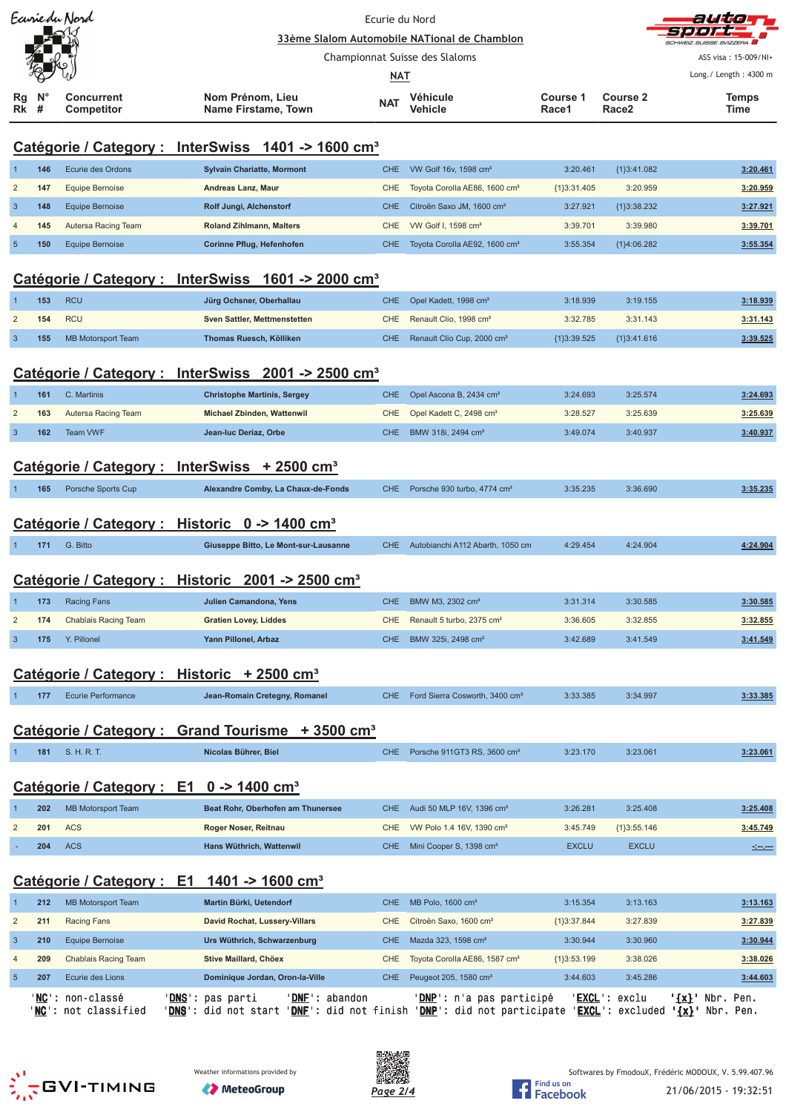|                         | Ecurie du Nord |                                                                  |                                                                                                                                                                | Ecurie du Nord<br>33ème Slalom Automobile NATional de Chamblon |                                            |                   |                               | althde                                        |
|-------------------------|----------------|------------------------------------------------------------------|----------------------------------------------------------------------------------------------------------------------------------------------------------------|----------------------------------------------------------------|--------------------------------------------|-------------------|-------------------------------|-----------------------------------------------|
|                         |                |                                                                  |                                                                                                                                                                |                                                                |                                            |                   |                               |                                               |
|                         |                |                                                                  |                                                                                                                                                                | <b>NAT</b>                                                     | Championnat Suisse des Slaloms             |                   |                               | ASS visa: 15-009/NI+<br>Long./ Length: 4300 m |
| Rg<br>Rk                | #              | <b>Concurrent</b><br>Competitor                                  | Nom Prénom, Lieu<br>Name Firstame, Town                                                                                                                        | <b>NAT</b>                                                     | Véhicule<br>Vehicle                        | Course 1<br>Race1 | Course 2<br>Race <sub>2</sub> | Temps<br>Time                                 |
|                         |                |                                                                  |                                                                                                                                                                |                                                                |                                            |                   |                               |                                               |
|                         |                |                                                                  | Catégorie / Category : InterSwiss 1401 -> 1600 cm <sup>3</sup>                                                                                                 |                                                                |                                            |                   |                               |                                               |
|                         | 146            | Ecurie des Ordons                                                | <b>Sylvain Chariatte, Mormont</b>                                                                                                                              | <b>CHE</b>                                                     | VW Golf 16v, 1598 cm <sup>3</sup>          | 3:20.461          | {1}3:41.082                   | 3:20.461                                      |
| $\overline{2}$          | 147            | <b>Equipe Bernoise</b>                                           | Andreas Lanz, Maur                                                                                                                                             | <b>CHE</b>                                                     | Toyota Corolla AE86, 1600 cm <sup>3</sup>  | ${1}3:31.405$     | 3:20.959                      | 3:20.959                                      |
| 3                       | 148            | <b>Equipe Bernoise</b>                                           | Rolf Jungi, Alchenstorf                                                                                                                                        | <b>CHE</b>                                                     | Citroën Saxo JM, 1600 cm <sup>3</sup>      | 3:27.921          | ${1}3:38.232$                 | 3:27.921                                      |
|                         | 145            | Autersa Racing Team                                              | <b>Roland Zihlmann, Malters</b>                                                                                                                                | <b>CHE</b>                                                     | VW Golf I, 1598 cm <sup>3</sup>            | 3:39.701          | 3:39.980                      | 3:39.701                                      |
| 5                       | 150            | <b>Equipe Bernoise</b>                                           | Corinne Pflug, Hefenhofen                                                                                                                                      | <b>CHE</b>                                                     | Toyota Corolla AE92, 1600 cm <sup>3</sup>  | 3:55.354          | {1}4:06.282                   | 3:55.354                                      |
|                         |                |                                                                  | Catégorie / Category : InterSwiss 1601 -> 2000 cm <sup>3</sup>                                                                                                 |                                                                |                                            |                   |                               |                                               |
| 1                       | 153            | <b>RCU</b>                                                       | Jürg Ochsner, Oberhallau                                                                                                                                       | <b>CHE</b>                                                     | Opel Kadett, 1998 cm <sup>3</sup>          | 3:18.939          | 3:19.155                      | 3:18.939                                      |
| $\overline{2}$          | 154            | <b>RCU</b>                                                       | Sven Sattler, Mettmenstetten                                                                                                                                   | <b>CHE</b>                                                     | Renault Clio, 1998 cm <sup>3</sup>         | 3:32.785          | 3:31.143                      | 3:31.143                                      |
| 3                       | 155            | <b>MB Motorsport Team</b>                                        | Thomas Ruesch, Kölliken                                                                                                                                        | <b>CHE</b>                                                     | Renault Clio Cup, 2000 cm <sup>3</sup>     | {1}3:39.525       | ${1}3:41.616$                 | 3:39.525                                      |
|                         |                |                                                                  |                                                                                                                                                                |                                                                |                                            |                   |                               |                                               |
|                         |                |                                                                  | Catégorie / Category : InterSwiss 2001 -> 2500 cm <sup>3</sup>                                                                                                 |                                                                |                                            |                   |                               |                                               |
|                         | 161            | C. Martinis                                                      | <b>Christophe Martinis, Sergey</b>                                                                                                                             | <b>CHE</b>                                                     | Opel Ascona B, 2434 cm <sup>3</sup>        | 3:24.693          | 3:25.574                      | 3:24.693                                      |
| $\overline{2}$          | 163            | Autersa Racing Team                                              | Michael Zbinden, Wattenwil                                                                                                                                     | <b>CHE</b>                                                     | Opel Kadett C, 2498 cm <sup>3</sup>        | 3:28.527          | 3:25.639                      | 3:25.639                                      |
| 3                       | 162            | Team VWF                                                         | Jean-luc Deriaz, Orbe                                                                                                                                          | <b>CHE</b>                                                     | BMW 318i, 2494 cm <sup>3</sup>             | 3:49.074          | 3:40.937                      | 3:40.937                                      |
|                         |                |                                                                  |                                                                                                                                                                |                                                                |                                            |                   |                               |                                               |
|                         |                |                                                                  | Catégorie / Category : InterSwiss + 2500 cm <sup>3</sup>                                                                                                       |                                                                |                                            |                   |                               |                                               |
|                         | 165            | Porsche Sports Cup                                               | Alexandre Comby, La Chaux-de-Fonds                                                                                                                             | <b>CHE</b>                                                     | Porsche 930 turbo, 4774 cm <sup>3</sup>    | 3:35.235          | 3:36.690                      | 3:35.235                                      |
|                         |                |                                                                  |                                                                                                                                                                |                                                                |                                            |                   |                               |                                               |
|                         |                |                                                                  | Catégorie / Category : Historic 0 -> 1400 cm <sup>3</sup>                                                                                                      |                                                                |                                            |                   |                               |                                               |
|                         | 171            | G. Bitto                                                         | Giuseppe Bitto, Le Mont-sur-Lausanne                                                                                                                           | <b>CHE</b>                                                     | Autobianchi A112 Abarth, 1050 cm           | 4:29.454          | 4:24.904                      | 4:24.904                                      |
|                         |                |                                                                  |                                                                                                                                                                |                                                                |                                            |                   |                               |                                               |
|                         |                |                                                                  | Catégorie / Category : Historic 2001 -> 2500 cm <sup>3</sup>                                                                                                   |                                                                |                                            |                   |                               |                                               |
| 1                       | 173            | <b>Racing Fans</b>                                               | Julien Camandona, Yens                                                                                                                                         | <b>CHE</b>                                                     | BMW M3, 2302 cm <sup>3</sup>               | 3:31.314          | 3:30.585                      | 3:30.585                                      |
| $\overline{\mathbf{c}}$ | 174            | Chablais Racing Team                                             | <b>Gratien Lovey, Liddes</b>                                                                                                                                   | <b>CHE</b>                                                     | Renault 5 turbo, 2375 cm <sup>3</sup>      | 3:36.605          | 3:32.855                      | 3:32.855                                      |
| $\mathbf{3}$            | 175            | Y. Pillonel                                                      | Yann Pillonel, Arbaz                                                                                                                                           | <b>CHE</b>                                                     | BMW 325i, 2498 cm <sup>3</sup>             | 3:42.689          | 3:41.549                      | 3:41.549                                      |
|                         |                |                                                                  |                                                                                                                                                                |                                                                |                                            |                   |                               |                                               |
|                         |                |                                                                  | Catégorie / Category : Historic + 2500 cm <sup>3</sup>                                                                                                         |                                                                |                                            |                   |                               |                                               |
|                         | 177            | <b>Ecurie Performance</b>                                        | Jean-Romain Cretegny, Romanel                                                                                                                                  | <b>CHE</b>                                                     | Ford Sierra Cosworth, 3400 cm <sup>3</sup> | 3:33.385          | 3:34.997                      | 3:33.385                                      |
|                         |                |                                                                  |                                                                                                                                                                |                                                                |                                            |                   |                               |                                               |
|                         |                |                                                                  | Catégorie / Category : Grand Tourisme + 3500 cm <sup>3</sup>                                                                                                   |                                                                |                                            |                   |                               |                                               |
|                         | 181            | S. H. R. T.                                                      | Nicolas Bührer, Biel                                                                                                                                           | <b>CHE</b>                                                     | Porsche 911GT3 RS, 3600 cm <sup>3</sup>    | 3:23.170          | 3:23.061                      | 3:23.061                                      |
|                         |                |                                                                  |                                                                                                                                                                |                                                                |                                            |                   |                               |                                               |
|                         |                |                                                                  | Catégorie / Category : E1 0 -> 1400 cm <sup>3</sup>                                                                                                            |                                                                |                                            |                   |                               |                                               |
|                         | 202            | <b>MB Motorsport Team</b>                                        | Beat Rohr, Oberhofen am Thunersee                                                                                                                              | <b>CHE</b>                                                     | Audi 50 MLP 16V, 1396 cm <sup>3</sup>      | 3:26.281          | 3:25.408                      | 3:25.408                                      |
| 2                       | 201            | <b>ACS</b>                                                       | Roger Noser, Reitnau                                                                                                                                           | <b>CHE</b>                                                     | VW Polo 1.4 16V, 1390 cm <sup>3</sup>      | 3:45.749          | ${1}3:55.146$                 | 3:45.749                                      |
|                         | 204            | <b>ACS</b>                                                       | Hans Wüthrich, Wattenwil                                                                                                                                       | <b>CHE</b>                                                     | Mini Cooper S, 1398 cm <sup>3</sup>        | <b>EXCLU</b>      | <b>EXCLU</b>                  |                                               |
|                         |                |                                                                  | Catégorie / Category : E1 1401 -> 1600 cm <sup>3</sup>                                                                                                         |                                                                |                                            |                   |                               |                                               |
| 1                       | 212            | <b>MB Motorsport Team</b>                                        | Martin Bürki, Uetendorf                                                                                                                                        | <b>CHE</b>                                                     | MB Polo, 1600 cm <sup>3</sup>              | 3:15.354          | 3:13.163                      | 3:13.163                                      |
| 2                       | 211            | Racing Fans                                                      | David Rochat, Lussery-Villars                                                                                                                                  | <b>CHE</b>                                                     | Citroën Saxo, 1600 cm <sup>3</sup>         | ${1}3:37.844$     | 3:27.839                      | 3:27.839                                      |
| 3                       | 210            | <b>Equipe Bernoise</b>                                           | Urs Wüthrich, Schwarzenburg                                                                                                                                    | <b>CHE</b>                                                     | Mazda 323, 1598 cm <sup>3</sup>            | 3:30.944          | 3:30.960                      | 3:30.944                                      |
| 4                       | 209            | Chablais Racing Team                                             | Stive Maillard, Chöex                                                                                                                                          | <b>CHE</b>                                                     | Toyota Corolla AE86, 1587 cm <sup>3</sup>  | ${1}3:53.199$     | 3:38.026                      | 3:38.026                                      |
| $\sqrt{5}$              | 207            | Ecurie des Lions                                                 | Dominique Jordan, Oron-la-Ville                                                                                                                                | <b>CHE</b>                                                     | Peugeot 205, 1580 cm <sup>3</sup>          | 3:44.603          | 3:45.286                      | 3:44.603                                      |
|                         |                | ' <b>NC</b> ': non-classé<br>' <mark>NC</mark> ': not classified | ' <b>DNS</b> ': pas parti<br>' <b>DNF</b> ': abandon<br>'DNS': did not start 'DNF': did not finish 'DNP': did not participate 'EXCL': excluded '{x}' Nbr. Pen. |                                                                | ' <u>DNP</u> ': n'a pas participé          |                   | 'EXCL': exclu                 | ' <u>{x}</u> ' Nbr.<br>Pen.                   |





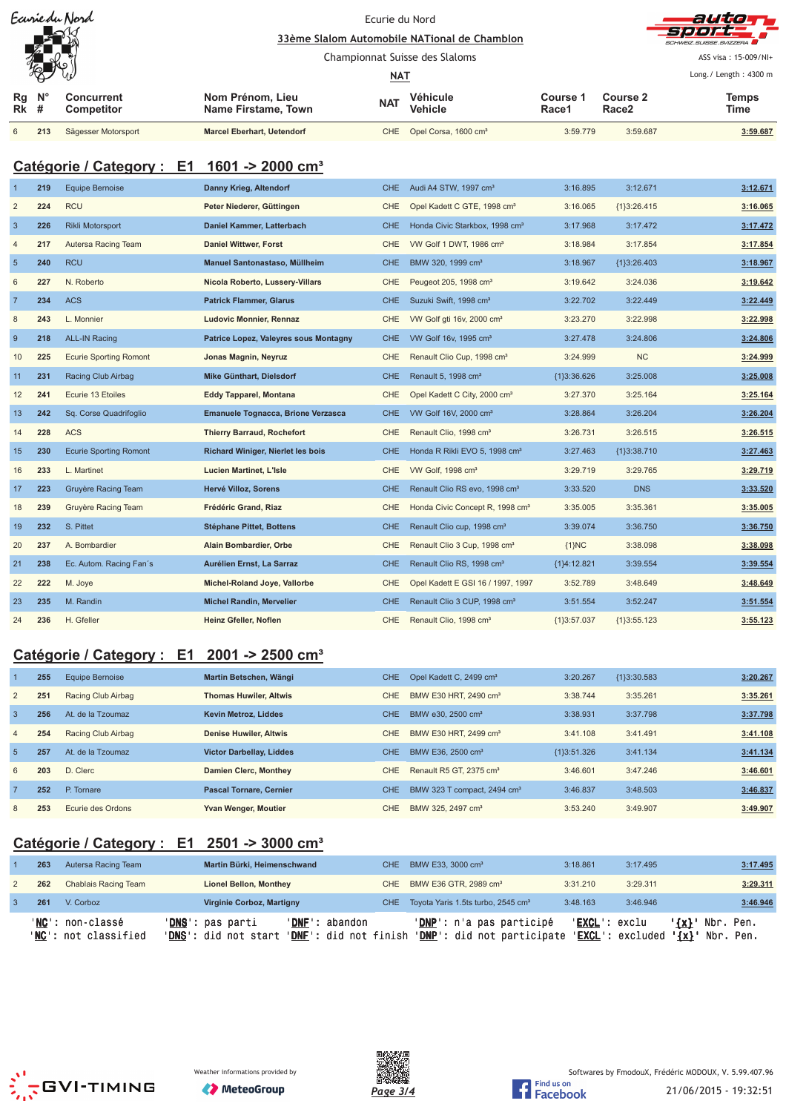|                                 | Ecurie du Nord<br>ا⁄صا | Ecurie du Nord<br>33ème Slalom Automobile NATional de Chamblon |                                         |            |                                  |                   | auto<br>-SI 91 01 00 00 00    |                                  |
|---------------------------------|------------------------|----------------------------------------------------------------|-----------------------------------------|------------|----------------------------------|-------------------|-------------------------------|----------------------------------|
|                                 |                        |                                                                |                                         |            |                                  |                   |                               | SCHWEIZ SUISSE SVIZZERA          |
|                                 | 砀                      |                                                                |                                         |            | Championnat Suisse des Slaloms   |                   |                               | ASS visa: 15-009/NI+             |
|                                 |                        |                                                                |                                         | <u>NAT</u> |                                  |                   |                               | Long. / Length: $4300 \text{ m}$ |
| $Rg$ $N^{\circ}$<br><b>Rk</b> # |                        | Concurrent<br><b>Competitor</b>                                | Nom Prénom, Lieu<br>Name Firstame, Town | <b>NAT</b> | Véhicule<br><b>Vehicle</b>       | Course 1<br>Race1 | Course 2<br>Race <sub>2</sub> | <b>Temps</b><br>Time             |
| 6                               | 213                    | Sägesser Motorsport                                            | <b>Marcel Eberhart, Uetendorf</b>       | CHE        | Opel Corsa, 1600 cm <sup>3</sup> | 3:59.779          | 3:59.687                      | 3:59.687                         |

## **Catégorie / Category : E1 1601 -> 2000 cm³**

|                 | 219 | <b>Equipe Bernoise</b>        | Danny Krieg, Altendorf                   | CHE.       | Audi A4 STW, 1997 cm <sup>3</sup>           | 3:16.895      | 3:12.671      | 3:12.671 |
|-----------------|-----|-------------------------------|------------------------------------------|------------|---------------------------------------------|---------------|---------------|----------|
| $\overline{2}$  | 224 | <b>RCU</b>                    | Peter Niederer, Güttingen                | <b>CHE</b> | Opel Kadett C GTE, 1998 cm <sup>3</sup>     | 3:16.065      | ${1}3:26.415$ | 3:16.065 |
| $\overline{3}$  | 226 | <b>Rikli Motorsport</b>       | Daniel Kammer, Latterbach                | <b>CHE</b> | Honda Civic Starkbox, 1998 cm <sup>3</sup>  | 3:17.968      | 3:17.472      | 3:17.472 |
| $\overline{4}$  | 217 | Autersa Racing Team           | <b>Daniel Wittwer, Forst</b>             | <b>CHE</b> | VW Golf 1 DWT, 1986 cm <sup>3</sup>         | 3:18.984      | 3:17.854      | 3:17.854 |
| $5\phantom{.0}$ | 240 | <b>RCU</b>                    | Manuel Santonastaso, Müllheim            | <b>CHE</b> | BMW 320, 1999 cm <sup>3</sup>               | 3:18.967      | {1}3:26.403   | 3:18.967 |
| 6               | 227 | N. Roberto                    | Nicola Roberto, Lussery-Villars          | <b>CHE</b> | Peugeot 205, 1998 cm <sup>3</sup>           | 3:19.642      | 3:24.036      | 3:19.642 |
| $\overline{7}$  | 234 | <b>ACS</b>                    | <b>Patrick Flammer, Glarus</b>           | <b>CHE</b> | Suzuki Swift, 1998 cm <sup>3</sup>          | 3:22.702      | 3:22.449      | 3:22.449 |
| $\bf 8$         | 243 | L. Monnier                    | <b>Ludovic Monnier, Rennaz</b>           | <b>CHE</b> | VW Golf gti 16v, 2000 cm <sup>3</sup>       | 3:23.270      | 3:22.998      | 3:22.998 |
| 9               | 218 | <b>ALL-IN Racing</b>          | Patrice Lopez, Valeyres sous Montagny    | <b>CHE</b> | VW Golf 16v, 1995 cm <sup>3</sup>           | 3:27.478      | 3:24.806      | 3:24.806 |
| 10              | 225 | <b>Ecurie Sporting Romont</b> | Jonas Magnin, Neyruz                     | <b>CHE</b> | Renault Clio Cup, 1998 cm <sup>3</sup>      | 3:24.999      | NC            | 3:24.999 |
| 11              | 231 | Racing Club Airbag            | Mike Günthart, Dielsdorf                 | CHE.       | Renault 5, 1998 cm <sup>3</sup>             | ${13:36.626}$ | 3:25.008      | 3:25.008 |
| 12              | 241 | Ecurie 13 Etoiles             | <b>Eddy Tapparel, Montana</b>            | <b>CHE</b> | Opel Kadett C City, 2000 cm <sup>3</sup>    | 3:27.370      | 3:25.164      | 3:25.164 |
| 13              | 242 | Sq. Corse Quadrifoglio        | Emanuele Tognacca, Brione Verzasca       | <b>CHE</b> | VW Golf 16V, 2000 cm <sup>3</sup>           | 3:28.864      | 3:26.204      | 3:26.204 |
| 14              | 228 | <b>ACS</b>                    | <b>Thierry Barraud, Rochefort</b>        | <b>CHE</b> | Renault Clio, 1998 cm <sup>3</sup>          | 3:26.731      | 3:26.515      | 3:26.515 |
| 15              | 230 | <b>Ecurie Sporting Romont</b> | <b>Richard Winiger, Nierlet les bois</b> | <b>CHE</b> | Honda R Rikli EVO 5, 1998 cm <sup>3</sup>   | 3:27.463      | ${1}3:38.710$ | 3:27.463 |
| 16              | 233 | L. Martinet                   | <b>Lucien Martinet, L'Isle</b>           | <b>CHE</b> | VW Golf, 1998 cm <sup>3</sup>               | 3:29.719      | 3:29.765      | 3:29.719 |
| 17              | 223 | Gruyère Racing Team           | Hervé Villoz, Sorens                     | <b>CHE</b> | Renault Clio RS evo, 1998 cm <sup>3</sup>   | 3:33.520      | <b>DNS</b>    | 3:33.520 |
| 18              | 239 | Gruyère Racing Team           | Frédéric Grand, Riaz                     | CHE        | Honda Civic Concept R, 1998 cm <sup>3</sup> | 3:35.005      | 3:35.361      | 3:35.005 |
| 19              | 232 | S. Pittet                     | Stéphane Pittet, Bottens                 | <b>CHE</b> | Renault Clio cup, 1998 cm <sup>3</sup>      | 3:39.074      | 3:36.750      | 3:36.750 |
| 20              | 237 | A. Bombardier                 | Alain Bombardier, Orbe                   | <b>CHE</b> | Renault Clio 3 Cup, 1998 cm <sup>3</sup>    | ${1}NC$       | 3:38.098      | 3:38.098 |
| 21              | 238 | Ec. Autom. Racing Fan's       | Aurélien Ernst, La Sarraz                | <b>CHE</b> | Renault Clio RS, 1998 cm <sup>3</sup>       | {1}4:12.821   | 3:39.554      | 3:39.554 |
| 22              | 222 | M. Joye                       | Michel-Roland Joye, Vallorbe             | <b>CHE</b> | Opel Kadett E GSI 16 / 1997, 1997           | 3:52.789      | 3:48.649      | 3:48.649 |
| 23              | 235 | M. Randin                     | <b>Michel Randin, Mervelier</b>          | <b>CHE</b> | Renault Clio 3 CUP, 1998 cm <sup>3</sup>    | 3:51.554      | 3:52.247      | 3:51.554 |
| 24              | 236 | H. Gfeller                    | Heinz Gfeller, Noflen                    | <b>CHE</b> | Renault Clio, 1998 cm <sup>3</sup>          | {1}3:57.037   | ${1}3:55.123$ | 3:55.123 |

# **Catégorie / Category : E1 2001 -> 2500 cm³**

|                | 255 | Equipe Bernoise    | Martin Betschen, Wängi          | CHE.       | Opel Kadett C, 2499 cm <sup>3</sup>     | 3:20.267      | ${13:30.583}$ | 3:20.267 |
|----------------|-----|--------------------|---------------------------------|------------|-----------------------------------------|---------------|---------------|----------|
| 2              | 251 | Racing Club Airbag | <b>Thomas Huwiler, Altwis</b>   | <b>CHE</b> | BMW E30 HRT, 2490 cm <sup>3</sup>       | 3:38.744      | 3:35.261      | 3:35.261 |
| $\overline{3}$ | 256 | At. de la Tzoumaz  | <b>Kevin Metroz, Liddes</b>     | <b>CHE</b> | BMW e30, 2500 cm <sup>3</sup>           | 3:38.931      | 3:37.798      | 3:37.798 |
| $\overline{4}$ | 254 | Racing Club Airbag | <b>Denise Huwiler, Altwis</b>   | CHE        | BMW E30 HRT, 2499 cm <sup>3</sup>       | 3:41.108      | 3:41.491      | 3:41.108 |
| -5             | 257 | At. de la Tzoumaz  | <b>Victor Darbellay, Liddes</b> | <b>CHE</b> | BMW E36, 2500 cm <sup>3</sup>           | ${13:51.326}$ | 3:41.134      | 3:41.134 |
| 6              | 203 | D. Clerc           | <b>Damien Clerc, Monthey</b>    | <b>CHE</b> | Renault R5 GT, 2375 cm <sup>3</sup>     | 3:46.601      | 3:47.246      | 3:46.601 |
| $\overline{7}$ | 252 | P. Tornare         | <b>Pascal Tornare, Cernier</b>  | <b>CHE</b> | BMW 323 T compact, 2494 cm <sup>3</sup> | 3:46.837      | 3:48.503      | 3:46.837 |
| 8              | 253 | Ecurie des Ordons  | Yvan Wenger, Moutier            | CHE        | BMW 325, 2497 cm <sup>3</sup>           | 3:53.240      | 3:49.907      | 3:49.907 |

## **Catégorie / Category : E1 2501 -> 3000 cm³**

| 263 | Autersa Racing Team                               | Martin Bürki, Heimenschwand                       |                                                  | CHE BMW E33, 3000 cm <sup>3</sup>                             | 3:18.861               | 3:17.495                                            | 3:17.495                     |
|-----|---------------------------------------------------|---------------------------------------------------|--------------------------------------------------|---------------------------------------------------------------|------------------------|-----------------------------------------------------|------------------------------|
| 262 | Chablais Racing Team                              | <b>Lionel Bellon, Monthey</b>                     |                                                  | CHE BMW E36 GTR, 2989 cm <sup>3</sup>                         | 3:31.210               | 3:29.311                                            | 3:29.311                     |
| 261 | V. Corboz                                         | <b>Virginie Corboz, Martigny</b>                  |                                                  | CHE Toyota Yaris 1.5ts turbo, 2545 cm <sup>3</sup>            | 3:48.163               | 3:46.946                                            | 3:46.946                     |
|     | ' <b>NC</b> ': non-classé<br>'NC': not classified | ' <b>DNS</b> ': pas parti<br>'DNS': did not start | 'DNF': abandon<br>' <b>DNF</b> ': did not finish | 'DNP': n'a pas participé<br><b>'DNP':</b> did not participate | ' <b>EXCL</b> ': exclu | $\{x\}$ '<br>' <b>EXCL</b> ': excluded<br>$\{x\}$ ' | Nbr.<br>Pen.<br>Nbr.<br>Pen. |



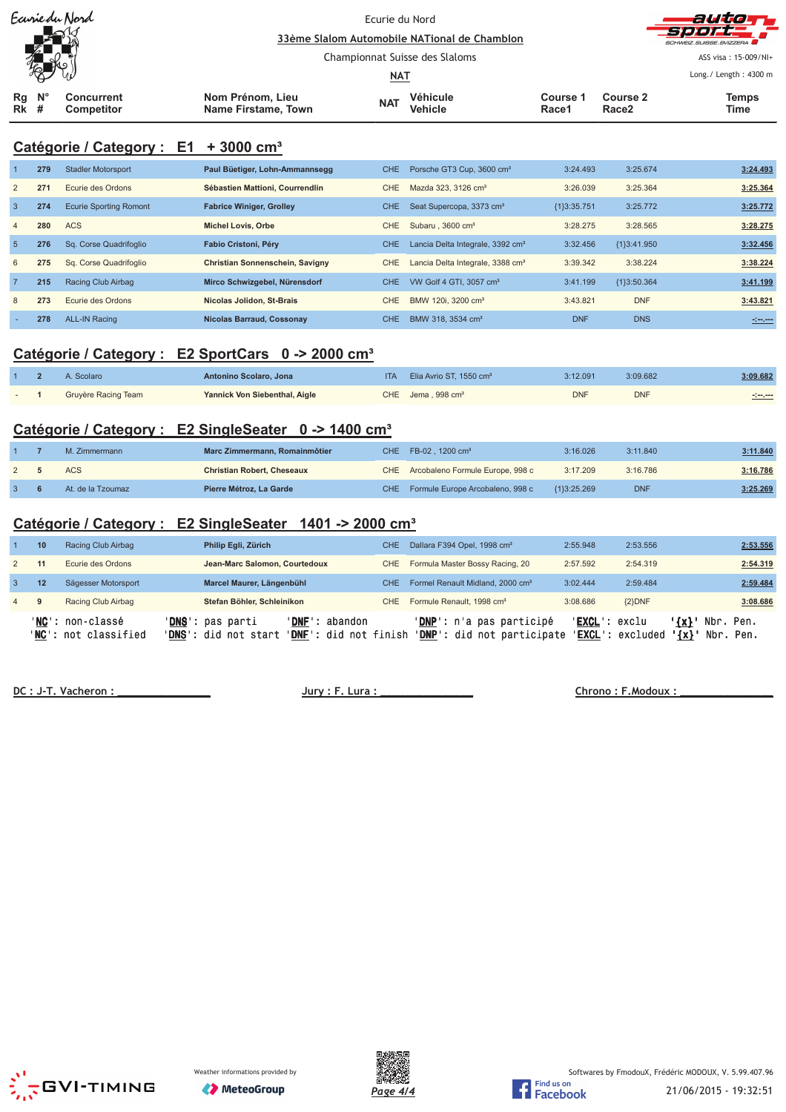| Ecurie du Nord<br>كاكتطبا<br>И |             |                                 |                                         | Ecurie du Nord<br>33ème Slalom Automobile NATional de Chamblon |                     |                   |                               |                                                 |
|--------------------------------|-------------|---------------------------------|-----------------------------------------|----------------------------------------------------------------|---------------------|-------------------|-------------------------------|-------------------------------------------------|
| ╱Д<br>冤                        |             |                                 |                                         | Championnat Suisse des Slaloms                                 |                     |                   |                               | SCHWEIZ SUISSE SVIZZERA<br>ASS visa: 15-009/NI+ |
|                                |             |                                 |                                         | <u>NAT</u>                                                     |                     |                   |                               | Long./ Length: 4300 m                           |
| Rg<br><b>Rk</b> #              | $N^{\circ}$ | Concurrent<br><b>Competitor</b> | Nom Prénom, Lieu<br>Name Firstame, Town | <b>NAT</b>                                                     | Véhicule<br>Vehicle | Course '<br>Race1 | Course 2<br>Race <sub>2</sub> | Temps<br><b>Time</b>                            |

## **Catégorie / Category : E1 + 3000 cm³**

|                | 279 | <b>Stadler Motorsport</b>     | Paul Büetiger, Lohn-Ammannsegg   | CHE.       | Porsche GT3 Cup, 3600 cm <sup>3</sup>        | 3:24.493      | 3:25.674    | 3:24.493         |
|----------------|-----|-------------------------------|----------------------------------|------------|----------------------------------------------|---------------|-------------|------------------|
| $\overline{2}$ | 271 | Ecurie des Ordons             | Sébastien Mattioni, Courrendlin  | CHE.       | Mazda 323, 3126 cm <sup>3</sup>              | 3:26.039      | 3:25.364    | 3:25.364         |
| $\overline{3}$ | 274 | <b>Ecurie Sporting Romont</b> | <b>Fabrice Winiger, Grolley</b>  | <b>CHE</b> | Seat Supercopa, 3373 cm <sup>3</sup>         | ${13:35.751}$ | 3:25.772    | 3:25.772         |
| $\overline{4}$ | 280 | <b>ACS</b>                    | <b>Michel Lovis, Orbe</b>        | CHE        | Subaru, 3600 cm <sup>3</sup>                 | 3:28.275      | 3:28.565    | 3:28.275         |
| 5              | 276 | Sq. Corse Quadrifoglio        | Fabio Cristoni, Péry             | CHE.       | Lancia Delta Integrale, 3392 cm <sup>3</sup> | 3:32.456      | {1}3:41.950 | 3:32.456         |
| 6              | 275 | Sq. Corse Quadrifoglio        | Christian Sonnenschein, Savigny  | CHE        | Lancia Delta Integrale, 3388 cm <sup>3</sup> | 3:39.342      | 3:38.224    | 3:38.224         |
| $\overline{7}$ | 215 | Racing Club Airbag            | Mirco Schwizgebel, Nürensdorf    | CHE.       | VW Golf 4 GTI, 3057 cm <sup>3</sup>          | 3:41.199      | {1}3:50.364 | 3:41.199         |
| 8              | 273 | Ecurie des Ordons             | Nicolas Jolidon, St-Brais        | <b>CHE</b> | BMW 120i, 3200 cm <sup>3</sup>               | 3:43.821      | <b>DNF</b>  | 3:43.821         |
|                | 278 | <b>ALL-IN Racing</b>          | <b>Nicolas Barraud, Cossonav</b> | CHE.       | BMW 318, 3534 cm <sup>3</sup>                | <b>DNF</b>    | <b>DNS</b>  | $-1 - 1 - 1 - 1$ |

### **Catégorie / Category : E2 SportCars 0 -> 2000 cm³**

|  | Scolaro             | Antonino Scolaro, Jona        | <b>ITA</b> | Elia Avrio ST, 1550 cm <sup>3</sup> | 3:12.091   | 3:09.682   | 3:09.682 |
|--|---------------------|-------------------------------|------------|-------------------------------------|------------|------------|----------|
|  | Gruyère Racing Team | Yannick Von Siebenthal, Aigle |            | $CHE$ Jema, 998 $cm3$               | <b>DNF</b> | <b>DNF</b> |          |

## **Catégorie / Category : E2 SingleSeater 0 -> 1400 cm³**

|  | M. Zimmermann     | Marc Zimmermann, Romainmôtier     | CHE FB-02, 1200 cm <sup>3</sup>      | 3:16.026    | 3:11.840   | 3:11.840 |
|--|-------------------|-----------------------------------|--------------------------------------|-------------|------------|----------|
|  | <b>ACS</b>        | <b>Christian Robert, Cheseaux</b> | CHE Arcobaleno Formule Europe, 998 c | 3:17.209    | 3:16.786   | 3:16.786 |
|  | At. de la Tzoumaz | Pierre Métroz, La Garde           | CHE Formule Europe Arcobaleno, 998 c | {1}3:25.269 | <b>DNF</b> | 3:25.269 |

## **Catégorie / Category : E2 SingleSeater 1401 -> 2000 cm³**

|                | 10 | Racing Club Airbag                                        | Philip Egli, Zürich                               |                                         | CHE.  | Dallara F394 Opel, 1998 cm <sup>3</sup>                | 2:55.948      | 2:53.556         |                        |                        | 2:53.556 |
|----------------|----|-----------------------------------------------------------|---------------------------------------------------|-----------------------------------------|-------|--------------------------------------------------------|---------------|------------------|------------------------|------------------------|----------|
|                | 11 | Ecurie des Ordons                                         | Jean-Marc Salomon, Courtedoux                     |                                         | CHE   | Formula Master Bossy Racing, 20                        | 2:57.592      | 2:54.319         |                        |                        | 2:54.319 |
| 3              | 12 | Sägesser Motorsport                                       | Marcel Maurer, Längenbühl                         |                                         | CHE - | Formel Renault Midland, 2000 cm <sup>3</sup>           | 3:02.444      | 2:59.484         |                        |                        | 2:59.484 |
| $\overline{4}$ | 9  | Racing Club Airbag                                        | Stefan Böhler, Schleinikon                        |                                         | CHE   | Formule Renault. 1998 cm <sup>3</sup>                  | 3:08.686      | ${2}DNF$         |                        |                        | 3:08.686 |
|                |    | ' <b>NC</b> ': non-classé<br>' <b>NC':</b> not classified | ' <b>DNS</b> ': pas parti<br>'DNS': did not start | 'DNF': abandon<br>'DNF': did not finish |       | 'DNP': n'a pas participé<br>'DNP': did not participate | 'EXCL': exclu | 'EXCL': excluded | $'$ {x} $'$<br>$\{x\}$ | Nbr. Pen.<br>Nbr. Pen. |          |

 **! "**





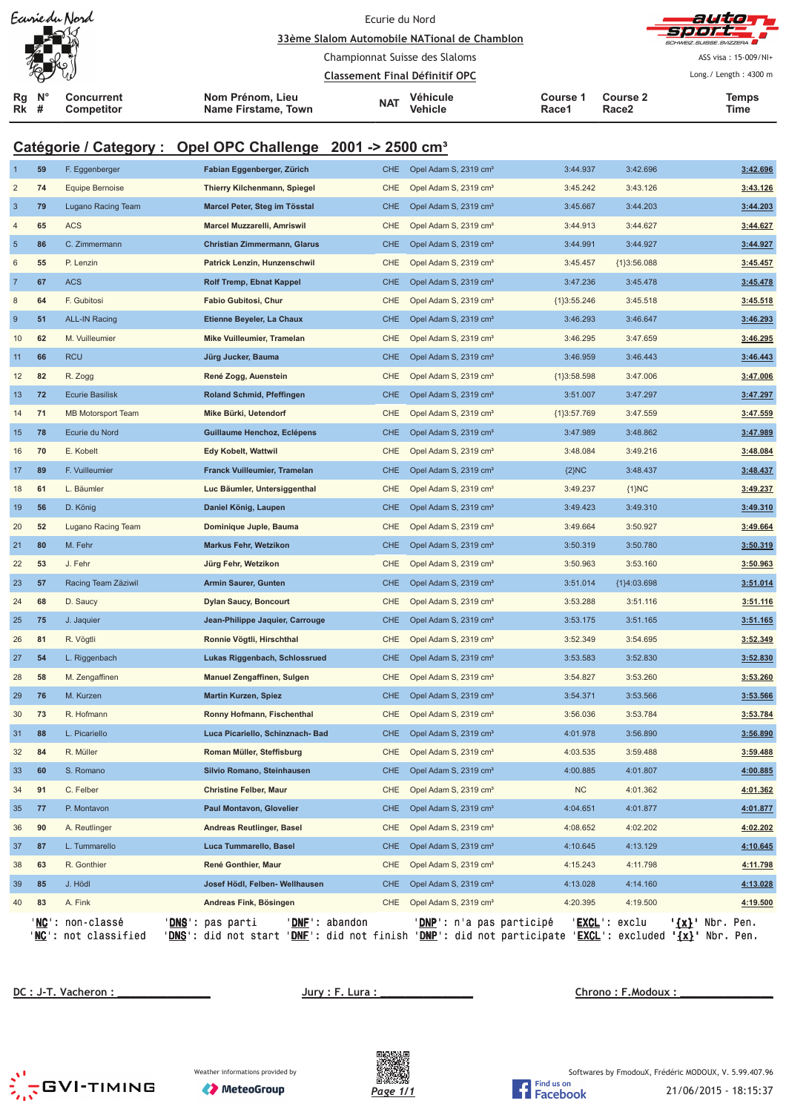|                         |                  | Eavrie du Nord                              |                                                                                                                                                          |            | autor                                        |                    |                          |                          |
|-------------------------|------------------|---------------------------------------------|----------------------------------------------------------------------------------------------------------------------------------------------------------|------------|----------------------------------------------|--------------------|--------------------------|--------------------------|
|                         |                  |                                             |                                                                                                                                                          |            | 33ème Slalom Automobile NATional de Chamblon |                    |                          |                          |
|                         |                  |                                             |                                                                                                                                                          |            | Championnat Suisse des Slaloms               |                    |                          | ASS visa: 15-009/NI+     |
|                         |                  |                                             |                                                                                                                                                          |            | <b>Classement Final Définitif OPC</b>        |                    |                          | Long./ Length: 4300 m    |
| Rg<br>Rk                | $N^{\circ}$<br># | <b>Concurrent</b><br><b>Competitor</b>      | Nom Prénom, Lieu<br>Name Firstame, Town                                                                                                                  | <b>NAT</b> | Véhicule<br>Vehicle                          | Course 1<br>Race1  | <b>Course 2</b><br>Race2 | <b>Temps</b><br>Time     |
|                         |                  |                                             | Catégorie / Category : Opel OPC Challenge 2001 -> 2500 cm <sup>3</sup>                                                                                   |            |                                              |                    |                          |                          |
|                         | 59               | F. Eggenberger                              | Fabian Eggenberger, Zürich                                                                                                                               | CHE        | Opel Adam S, 2319 cm <sup>3</sup>            | 3:44.937           | 3:42.696                 | 3:42.696                 |
| $\overline{\mathbf{c}}$ | 74               | <b>Equipe Bernoise</b>                      | Thierry Kilchenmann, Spiegel                                                                                                                             | <b>CHE</b> | Opel Adam S, 2319 cm <sup>3</sup>            | 3:45.242           | 3:43.126                 | 3:43.126                 |
| 3                       | 79               | Lugano Racing Team                          | Marcel Peter, Steg im Tösstal                                                                                                                            | <b>CHE</b> | Opel Adam S, 2319 cm <sup>3</sup>            | 3:45.667           | 3:44.203                 | 3:44.203                 |
| 4                       | 65               | ACS                                         | Marcel Muzzarelli, Amriswil                                                                                                                              | CHE        | Opel Adam S, 2319 cm <sup>3</sup>            | 3:44.913           | 3:44.627                 | 3:44.627                 |
| $\overline{5}$          | 86               | C. Zimmermann                               | Christian Zimmermann, Glarus                                                                                                                             | <b>CHE</b> | Opel Adam S, 2319 cm <sup>3</sup>            | 3:44.991           | 3:44.927                 | 3:44.927                 |
| 6                       | 55               | P. Lenzin                                   | Patrick Lenzin, Hunzenschwil                                                                                                                             | CHE        | Opel Adam S, 2319 cm <sup>3</sup>            | 3:45.457           | ${1}3:56.088$            | 3:45.457                 |
| $\overline{7}$          | 67               | <b>ACS</b>                                  | <b>Rolf Tremp, Ebnat Kappel</b>                                                                                                                          | <b>CHE</b> | Opel Adam S, 2319 cm <sup>3</sup>            | 3:47.236           | 3:45.478                 | 3:45.478                 |
| 8                       | 64               | F. Gubitosi                                 | Fabio Gubitosi, Chur                                                                                                                                     | CHE        | Opel Adam S, 2319 cm <sup>3</sup>            | ${1}3:55.246$      | 3:45.518                 | 3:45.518                 |
| 9                       | 51               | <b>ALL-IN Racing</b>                        | Etienne Beyeler, La Chaux                                                                                                                                | <b>CHE</b> | Opel Adam S, 2319 cm <sup>3</sup>            | 3:46.293           | 3:46.647                 | 3:46.293                 |
| 10                      | 62               | M. Vuilleumier                              | Mike Vuilleumier, Tramelan                                                                                                                               | <b>CHE</b> | Opel Adam S, 2319 cm <sup>3</sup>            | 3:46.295           | 3:47.659                 | 3:46.295                 |
| 11                      | 66               | <b>RCU</b>                                  | Jürg Jucker, Bauma                                                                                                                                       | <b>CHE</b> | Opel Adam S, 2319 cm <sup>3</sup>            | 3:46.959           | 3:46.443                 | 3:46.443                 |
| $12$                    | 82               | R. Zogg                                     | René Zogg, Auenstein                                                                                                                                     | CHE        | Opel Adam S, 2319 cm <sup>3</sup>            | ${1}3:58.598$      | 3:47.006                 | 3:47.006                 |
| 13                      | 72               | <b>Ecurie Basilisk</b>                      | Roland Schmid, Pfeffingen                                                                                                                                | <b>CHE</b> | Opel Adam S, 2319 cm <sup>3</sup>            | 3:51.007           | 3:47.297                 | 3:47.297                 |
| 14                      | 71               | <b>MB Motorsport Team</b>                   | Mike Bürki, Uetendorf                                                                                                                                    | CHE        | Opel Adam S, 2319 cm <sup>3</sup>            | ${1}3:57.769$      | 3:47.559                 | 3:47.559                 |
| 15                      | 78               | Ecurie du Nord                              | Guillaume Henchoz, Eclépens                                                                                                                              | <b>CHE</b> | Opel Adam S, 2319 cm <sup>3</sup>            | 3:47.989           | 3:48.862                 | 3:47.989                 |
| 16                      | 70               | E. Kobelt                                   | <b>Edy Kobelt, Wattwil</b>                                                                                                                               | CHE        | Opel Adam S, 2319 cm <sup>3</sup>            | 3:48.084           | 3:49.216                 | 3:48.084                 |
| 17                      | 89               | F. Vuilleumier                              | Franck Vuilleumier, Tramelan                                                                                                                             | <b>CHE</b> | Opel Adam S, 2319 cm <sup>3</sup>            | $\{2\}NC$          | 3:48.437                 | 3:48.437                 |
| 18                      | 61               | L. Bäumler                                  | Luc Bäumler, Untersiggenthal                                                                                                                             | <b>CHE</b> | Opel Adam S, 2319 cm <sup>3</sup>            | 3:49.237           | ${1}NC$                  | 3:49.237                 |
| 19                      | 56               | D. König                                    | Daniel König, Laupen                                                                                                                                     | <b>CHE</b> | Opel Adam S, 2319 cm <sup>3</sup>            | 3:49.423           | 3:49.310                 | 3:49.310                 |
| 20                      | 52               | Lugano Racing Team                          | Dominique Juple, Bauma                                                                                                                                   | CHE        | Opel Adam S, 2319 cm <sup>3</sup>            | 3:49.664           | 3:50.927                 | 3:49.664                 |
| 21                      | 80               | M. Fehr                                     | <b>Markus Fehr, Wetzikon</b>                                                                                                                             | <b>CHE</b> | Opel Adam S, 2319 cm <sup>3</sup>            | 3:50.319           | 3:50.780                 | 3:50.319                 |
| 22                      | 53               | J. Fehr                                     | Jürg Fehr, Wetzikon                                                                                                                                      | <b>CHE</b> | Opel Adam S, 2319 cm <sup>3</sup>            | 3:50.963           | 3:53.160                 | 3:50.963                 |
| 23                      | 57               | Racing Team Zäziwil                         | <b>Armin Saurer, Gunten</b>                                                                                                                              | CHE        | Opel Adam S, 2319 cm <sup>3</sup>            | 3:51.014           | ${1}4:03.698$            | 3:51.014                 |
| 24                      | 68               | D. Saucy                                    | Dylan Saucy, Boncourt                                                                                                                                    |            | CHE Opel Adam S, 2319 cm <sup>3</sup>        | 3:53.288           | 3:51.116                 | 3:51.116                 |
| 25                      | 75               | J. Jaquier                                  | Jean-Philippe Jaquier, Carrouge                                                                                                                          | CHE        | Opel Adam S, 2319 cm <sup>3</sup>            | 3:53.175           | 3:51.165                 | 3:51.165                 |
| 26                      | 81               | R. Vögtli                                   | Ronnie Vögtli, Hirschthal                                                                                                                                | <b>CHE</b> | Opel Adam S, 2319 cm <sup>3</sup>            | 3:52.349           | 3:54.695                 | 3:52.349                 |
| 27                      | 54               | L. Riggenbach                               | Lukas Riggenbach, Schlossrued                                                                                                                            | <b>CHE</b> | Opel Adam S, 2319 cm <sup>3</sup>            | 3:53.583           | 3:52.830                 | 3:52.830                 |
| 28                      | 58               | M. Zengaffinen                              | Manuel Zengaffinen, Sulgen                                                                                                                               | CHE        | Opel Adam S, 2319 cm <sup>3</sup>            | 3:54.827           | 3:53.260                 | 3:53.260                 |
| 29                      | 76               | M. Kurzen                                   | <b>Martin Kurzen, Spiez</b>                                                                                                                              | <b>CHE</b> | Opel Adam S, 2319 cm <sup>3</sup>            | 3:54.371           | 3:53.566                 | 3:53.566                 |
| 30                      | 73               | R. Hofmann                                  | Ronny Hofmann, Fischenthal                                                                                                                               | CHE        | Opel Adam S, 2319 cm <sup>3</sup>            | 3:56.036           | 3:53.784                 | 3:53.784                 |
| 31                      | 88               | L. Picariello                               | Luca Picariello, Schinznach- Bad                                                                                                                         | <b>CHE</b> | Opel Adam S, 2319 cm <sup>3</sup>            | 4:01.978           | 3:56.890                 | 3:56.890                 |
| 32                      | 84               | R. Müller                                   | Roman Müller, Steffisburg                                                                                                                                | CHE        | Opel Adam S, 2319 cm <sup>3</sup>            | 4:03.535           | 3:59.488                 | 3:59.488                 |
| 33                      | 60               | S. Romano                                   | Silvio Romano, Steinhausen                                                                                                                               | <b>CHE</b> | Opel Adam S, 2319 cm <sup>3</sup>            | 4:00.885           | 4:01.807                 | 4:00.885                 |
| 34                      | 91               | C. Felber                                   | Christine Felber, Maur                                                                                                                                   | <b>CHE</b> | Opel Adam S, 2319 cm <sup>3</sup>            | <b>NC</b>          | 4:01.362                 | 4:01.362                 |
| 35                      | 77               | P. Montavon                                 | Paul Montavon, Glovelier                                                                                                                                 | <b>CHE</b> | Opel Adam S, 2319 cm <sup>3</sup>            | 4:04.651           | 4:01.877                 | 4:01.877                 |
| 36                      | 90               | A. Reutlinger                               | <b>Andreas Reutlinger, Basel</b>                                                                                                                         | <b>CHE</b> | Opel Adam S, 2319 cm <sup>3</sup>            | 4:08.652           | 4:02.202                 | 4:02.202                 |
| 37                      | 87               | L. Tummarello                               | Luca Tummarello, Basel                                                                                                                                   | <b>CHE</b> | Opel Adam S, 2319 cm <sup>3</sup>            | 4:10.645           | 4:13.129                 | 4:10.645                 |
| 38                      | 63               | R. Gonthier                                 | René Gonthier, Maur                                                                                                                                      | CHE        | Opel Adam S, 2319 cm <sup>3</sup>            | 4:15.243           | 4:11.798                 | 4:11.798                 |
| 39                      | 85               | J. Hödl                                     | Josef Hödl, Felben- Wellhausen                                                                                                                           | <b>CHE</b> | Opel Adam S, 2319 cm <sup>3</sup>            | 4:13.028           | 4:14.160                 | 4:13.028                 |
| 40                      | 83               | A. Fink                                     | Andreas Fink, Bösingen                                                                                                                                   | CHE        | Opel Adam S, 2319 cm <sup>3</sup>            | 4:20.395           | 4:19.500                 | 4:19.500                 |
|                         | ' <u>NC</u> ' :  | ' <u>NC</u> ': non-classé<br>not classified | ' <u>DNS</u> ' :<br>'DNE': abandon<br>pas parti<br>DNS': did not start 'DNE': did not finish 'DNP': did not participate 'EXCL': excluded '{x}' Nbr. Pen. |            | ' <mark>DNP</mark> ': n'a pas participé      | ' <u>excl.</u> ' : | exclu                    | ' <u>{x}</u> ' Nbr. Pen. |

 **<u>DC : J-T. Vacheron : \_</u> \_ \_ \_ \_ \_ \_ \_ \_ \_ \_ \_ \_ \_ \_ \_ \_ Jury : F. Lura : \_ \_ \_ \_ \_ \_ \_ \_ \_ \_ \_ \_ \_ \_ \_ \_ \_ Chrono : F.Modoux :** 



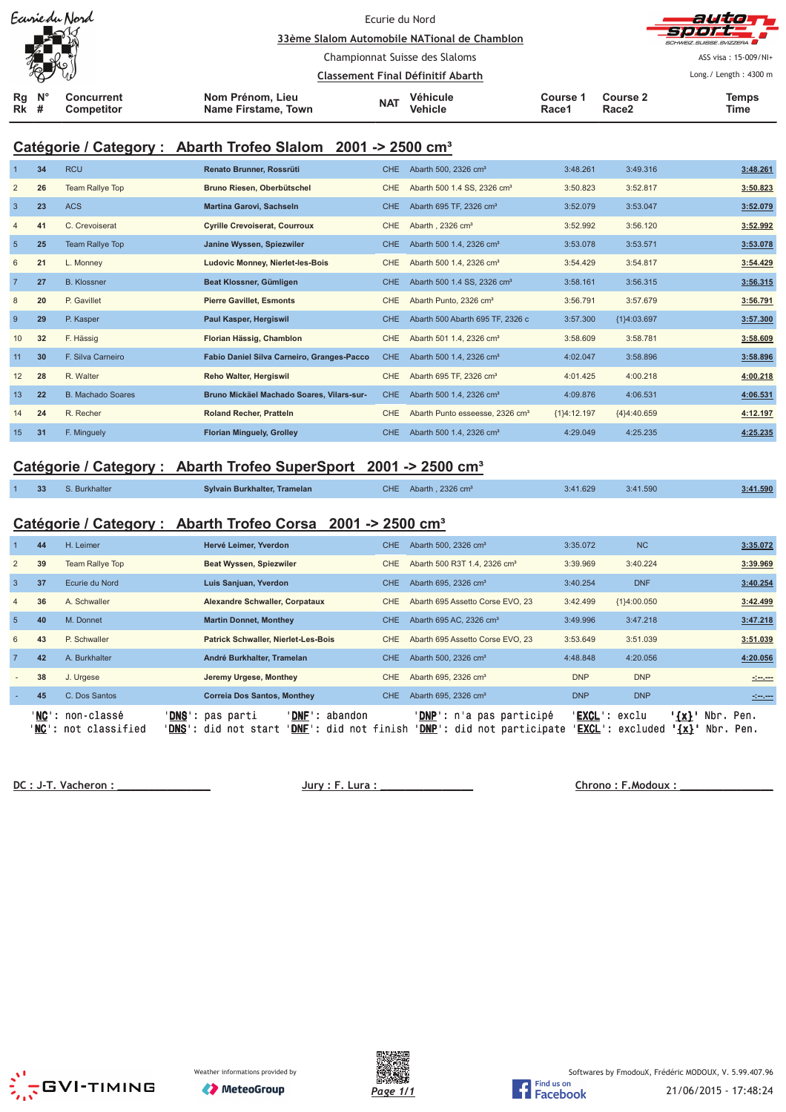| Ecurie du Nord                                                        |                                         | Ecurie du Nord                    |                                              |                   |                               | auto T                             |
|-----------------------------------------------------------------------|-----------------------------------------|-----------------------------------|----------------------------------------------|-------------------|-------------------------------|------------------------------------|
| كأكم                                                                  |                                         |                                   | 33ème Slalom Automobile NATional de Chamblon |                   |                               | SPOTE 1<br>SCHWEIZ SUISSE SVIZZERA |
|                                                                       |                                         |                                   | Championnat Suisse des Slaloms               |                   |                               | ASS visa: 15-009/NI+               |
| 処                                                                     |                                         | Classement Final Définitif Abarth |                                              |                   |                               | Long./ Length: 4300 m              |
| $\mathbf{N}^{\circ}$<br>Rq<br>Concurrent<br><b>Rk</b> #<br>Competitor | Nom Prénom, Lieu<br>Name Firstame, Town | <b>NAT</b>                        | Véhicule<br><b>Vehicle</b>                   | Course 1<br>Race1 | Course 2<br>Race <sub>2</sub> | <b>Temps</b><br>Time               |

# **Catégorie / Category : Abarth Trofeo Slalom 2001 -> 2500 cm³**

|                | 34 | <b>RCU</b>               | Renato Brunner, Rossrüti                   | CHE.       | Abarth 500, 2326 cm <sup>3</sup>            | 3:48.261      | 3:49.316      | 3:48.261 |
|----------------|----|--------------------------|--------------------------------------------|------------|---------------------------------------------|---------------|---------------|----------|
| 2              | 26 | Team Rallye Top          | Bruno Riesen, Oberbütschel                 | <b>CHE</b> | Abarth 500 1.4 SS, 2326 cm <sup>3</sup>     | 3:50.823      | 3:52.817      | 3:50.823 |
| $\overline{3}$ | 23 | <b>ACS</b>               | Martina Garovi, Sachseln                   | <b>CHE</b> | Abarth 695 TF, 2326 cm <sup>3</sup>         | 3:52.079      | 3:53.047      | 3:52.079 |
| $\overline{4}$ | 41 | C. Crevoiserat           | <b>Cyrille Crevoiserat, Courroux</b>       | <b>CHE</b> | Abarth, 2326 cm <sup>3</sup>                | 3:52.992      | 3:56.120      | 3:52.992 |
| 5              | 25 | Team Rallye Top          | Janine Wyssen, Spiezwiler                  | <b>CHE</b> | Abarth 500 1.4, 2326 cm <sup>3</sup>        | 3:53.078      | 3:53.571      | 3:53.078 |
| 6              | 21 | L. Monney                | <b>Ludovic Monney, Nierlet-les-Bois</b>    | <b>CHE</b> | Abarth 500 1.4, 2326 cm <sup>3</sup>        | 3:54.429      | 3:54.817      | 3:54.429 |
| $\overline{7}$ | 27 | <b>B.</b> Klossner       | Beat Klossner, Gümligen                    | <b>CHE</b> | Abarth 500 1.4 SS, 2326 cm <sup>3</sup>     | 3:58.161      | 3:56.315      | 3:56.315 |
| 8              | 20 | P. Gavillet              | <b>Pierre Gavillet, Esmonts</b>            | <b>CHE</b> | Abarth Punto, 2326 cm <sup>3</sup>          | 3:56.791      | 3:57.679      | 3:56.791 |
| 9              | 29 | P. Kasper                | Paul Kasper, Hergiswil                     | <b>CHE</b> | Abarth 500 Abarth 695 TF, 2326 c            | 3:57.300      | ${1}4:03.697$ | 3:57.300 |
| 10             | 32 | F. Hässig                | Florian Hässig, Chamblon                   | <b>CHE</b> | Abarth 501 1.4, 2326 cm <sup>3</sup>        | 3:58.609      | 3:58.781      | 3:58.609 |
| 11             | 30 | F. Silva Carneiro        | Fabio Daniel Silva Carneiro, Granges-Pacco | <b>CHE</b> | Abarth 500 1.4, 2326 cm <sup>3</sup>        | 4:02.047      | 3:58.896      | 3:58.896 |
| 12             | 28 | R. Walter                | Reho Walter, Hergiswil                     | <b>CHE</b> | Abarth 695 TF, 2326 cm <sup>3</sup>         | 4:01.425      | 4:00.218      | 4:00.218 |
| 13             | 22 | <b>B. Machado Soares</b> | Bruno Mickäel Machado Soares, Vilars-sur-  | <b>CHE</b> | Abarth 500 1.4, 2326 cm <sup>3</sup>        | 4:09.876      | 4:06.531      | 4:06.531 |
| 14             | 24 | R. Recher                | <b>Roland Recher, Pratteln</b>             | <b>CHE</b> | Abarth Punto esseesse, 2326 cm <sup>3</sup> | ${1}4:12.197$ | ${4}4:40.659$ | 4:12.197 |
| 15             | 31 | F. Minguely              | <b>Florian Minguely, Grolley</b>           | <b>CHE</b> | Abarth 500 1.4, 2326 cm <sup>3</sup>        | 4:29.049      | 4:25.235      | 4:25.235 |

### **Catégorie / Category : Abarth Trofeo SuperSport 2001 -> 2500 cm³**

| 33 | S. Burkhalter | Sylvain Burkhalter, Tramelan | CHE. | Abarth, 2326 cm <sup>3</sup> | 3:41.629 | 3:41.590 | 3:41.590 |
|----|---------------|------------------------------|------|------------------------------|----------|----------|----------|
|    |               |                              |      |                              |          |          |          |

## **Catégorie / Category : Abarth Trofeo Corsa 2001 -> 2500 cm³**

|                 | 44 | H. Leimer                                                | Hervé Leimer, Yverdon                                      |                    |                | CHE.       | Abarth 500, 2326 cm <sup>3</sup>         |                                                                          | 3:35.072                           | <b>NC</b>   |                    |                        | 3:35.072                                                                                                             |
|-----------------|----|----------------------------------------------------------|------------------------------------------------------------|--------------------|----------------|------------|------------------------------------------|--------------------------------------------------------------------------|------------------------------------|-------------|--------------------|------------------------|----------------------------------------------------------------------------------------------------------------------|
| $\overline{2}$  | 39 | <b>Team Rallye Top</b>                                   | Beat Wyssen, Spiezwiler                                    |                    |                | CHE        | Abarth 500 R3T 1.4, 2326 cm <sup>3</sup> |                                                                          | 3:39.969                           | 3:40.224    |                    |                        | 3:39.969                                                                                                             |
| $\overline{3}$  | 37 | Ecurie du Nord                                           | Luis Sanjuan, Yverdon                                      |                    |                | CHE        | Abarth 695, 2326 cm <sup>3</sup>         |                                                                          | 3:40.254                           | <b>DNF</b>  |                    |                        | 3:40.254                                                                                                             |
| $\overline{4}$  | 36 | A. Schwaller                                             | <b>Alexandre Schwaller, Corpataux</b>                      |                    |                | CHE        | Abarth 695 Assetto Corse EVO, 23         |                                                                          | 3:42.499                           | {1}4:00.050 |                    |                        | 3:42.499                                                                                                             |
| $5\overline{5}$ | 40 | M. Donnet                                                | <b>Martin Donnet, Monthey</b>                              |                    |                | CHE.       | Abarth 695 AC, 2326 cm <sup>3</sup>      |                                                                          | 3:49.996                           | 3:47.218    |                    |                        | 3:47.218                                                                                                             |
| 6               | 43 | P. Schwaller                                             | Patrick Schwaller, Nierlet-Les-Bois                        |                    |                | <b>CHE</b> | Abarth 695 Assetto Corse EVO, 23         |                                                                          | 3:53.649                           | 3:51.039    |                    |                        | 3:51.039                                                                                                             |
| $\overline{7}$  | 42 | A. Burkhalter                                            | André Burkhalter, Tramelan                                 |                    |                | CHE.       | Abarth 500, 2326 cm <sup>3</sup>         |                                                                          | 4:48.848                           | 4:20.056    |                    |                        | 4:20.056                                                                                                             |
|                 | 38 | J. Urgese                                                | Jeremy Urgese, Monthey                                     |                    |                | CHE        | Abarth 695, 2326 cm <sup>3</sup>         |                                                                          | <b>DNP</b>                         | <b>DNP</b>  |                    |                        | <u> 1990 - 1991 - 1992 - 1993 - 1994 - 1994 - 1994 - 1994 - 1994 - 1994 - 1994 - 1994 - 1994 - 1994 - 1994 - 199</u> |
|                 | 45 | C. Dos Santos                                            | <b>Correia Dos Santos, Monthey</b>                         |                    |                | CHE.       | Abarth 695, 2326 cm <sup>3</sup>         |                                                                          | <b>DNP</b>                         | <b>DNP</b>  |                    |                        |                                                                                                                      |
|                 |    | ' <b>NC':</b> non-classé<br>' <b>NC':</b> not classified | ' <b>DNS</b> ': pas parti<br>' <b>DNS</b> ': did not start | ' <b>DNF':</b> did | 'DNF': abandon | not finish |                                          | ' <b>DNP</b> ': n'a pas participé<br>' <b>DNP</b> ': did not participate | ' <b>EXCL</b> ': exclu<br>'EXCL' : | excluded    | $\{x\}$<br>$\{x\}$ | Nbr. Pen.<br>Nbr. Pen. |                                                                                                                      |

 **!!!!!!!!!!!!!!! "#!!!!!!!!!!!!!!! \$ %!!!!!!!!!!!!!!!**





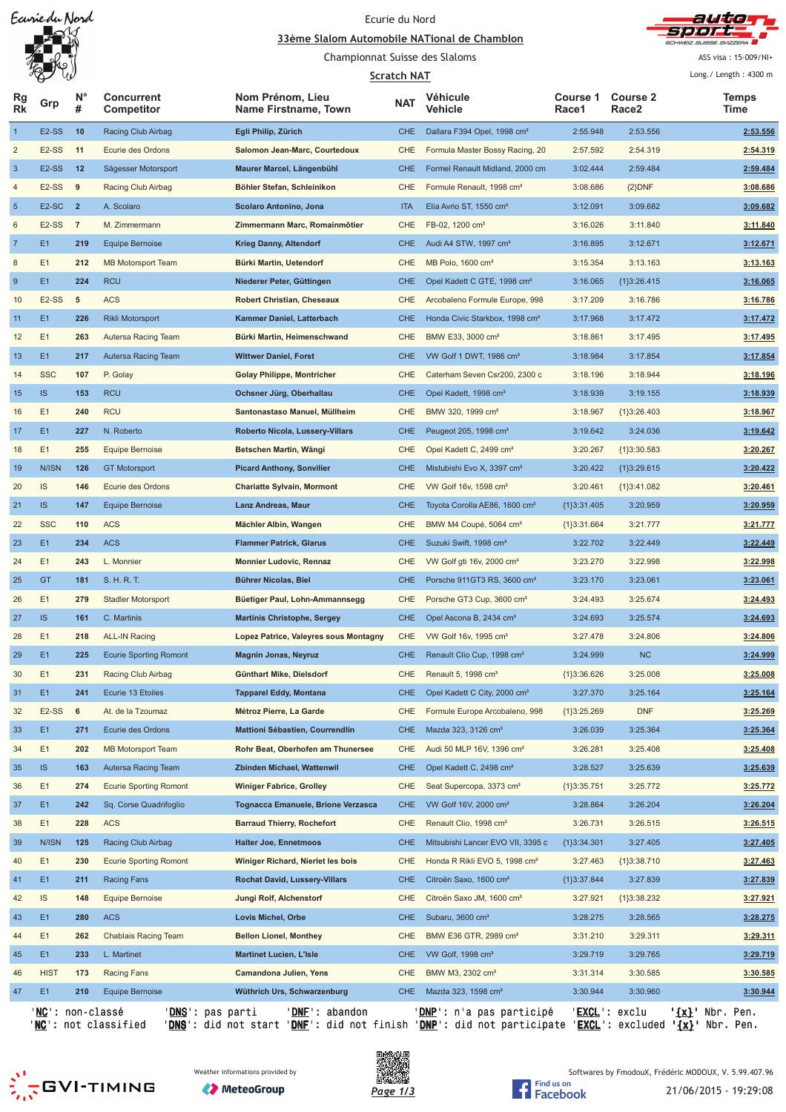Earriedu Nord

# Ecurie du Nord





Championnat Suisse des Slaloms

#### **<u>Scratch NAT</u>**

ASS visa: 15-009/NI+

|                | V<br>W                  |                  |                                 |                                          | <b>Scratch NAT</b> |                                            |                   |                          | Long./ Length: 4300 m    |
|----------------|-------------------------|------------------|---------------------------------|------------------------------------------|--------------------|--------------------------------------------|-------------------|--------------------------|--------------------------|
| Rg<br>Rk       | Grp                     | $N^{\circ}$<br># | <b>Concurrent</b><br>Competitor | Nom Prénom, Lieu<br>Name Firstname, Town | <b>NAT</b>         | Véhicule<br>Vehicle                        | Course 1<br>Race1 | <b>Course 2</b><br>Race2 | <b>Temps</b><br>Time     |
| $\mathbf{1}$   | E2-SS                   | 10               | Racing Club Airbag              | Egli Philip, Zürich                      | <b>CHE</b>         | Dallara F394 Opel, 1998 cm <sup>3</sup>    | 2:55.948          | 2:53.556                 | 2:53.556                 |
| $\overline{c}$ | E2-SS                   | 11               | Ecurie des Ordons               | Salomon Jean-Marc, Courtedoux            | CHE                | Formula Master Bossy Racing, 20            | 2:57.592          | 2:54.319                 | 2:54.319                 |
| $\mathbf{3}$   | E <sub>2</sub> -SS      | 12               | Sägesser Motorsport             | Maurer Marcel, Längenbühl                | <b>CHE</b>         | Formel Renault Midland, 2000 cm            | 3:02.444          | 2:59.484                 | 2:59.484                 |
| $\overline{4}$ | E <sub>2</sub> -SS      | 9                | Racing Club Airbag              | Böhler Stefan, Schleinikon               | <b>CHE</b>         | Formule Renault, 1998 cm <sup>3</sup>      | 3:08.686          | ${2}DNF$                 | 3:08.686                 |
| $\sqrt{5}$     | $E2-SC$ 2               |                  | A. Scolaro                      | Scolaro Antonino, Jona                   | <b>ITA</b>         | Elia Avrio ST, 1550 cm <sup>3</sup>        | 3:12.091          | 3:09.682                 | 3:09.682                 |
| 6              | E2-SS                   | $\overline{7}$   | M. Zimmermann                   | Zimmermann Marc, Romainmôtier            | CHE                | FB-02, 1200 cm <sup>3</sup>                | 3:16.026          | 3:11.840                 | 3:11.840                 |
| $\overline{7}$ | E <sub>1</sub>          | 219              | <b>Equipe Bernoise</b>          | <b>Krieg Danny, Altendorf</b>            | <b>CHE</b>         | Audi A4 STW, 1997 cm <sup>3</sup>          | 3:16.895          | 3:12.671                 | 3:12.671                 |
| 8              | E1                      | 212              | <b>MB Motorsport Team</b>       | Bürki Martin, Uetendorf                  | CHE                | MB Polo, 1600 cm <sup>3</sup>              | 3:15.354          | 3:13.163                 | 3:13.163                 |
| $\overline{9}$ | E1                      | 224              | <b>RCU</b>                      | Niederer Peter, Güttingen                | <b>CHE</b>         | Opel Kadett C GTE, 1998 cm <sup>3</sup>    | 3:16.065          | ${1}3:26.415$            | 3:16.065                 |
| 10             | E <sub>2</sub> -SS      | 5                | <b>ACS</b>                      | <b>Robert Christian, Cheseaux</b>        | CHE                | Arcobaleno Formule Europe, 998             | 3:17.209          | 3:16.786                 | 3:16.786                 |
| 11             | E <sub>1</sub>          | 226              | Rikli Motorsport                | Kammer Daniel, Latterbach                | <b>CHE</b>         | Honda Civic Starkbox, 1998 cm <sup>3</sup> | 3:17.968          | 3:17.472                 | 3:17.472                 |
| 12             | E1                      | 263              | Autersa Racing Team             | Bürki Martin, Heimenschwand              | <b>CHE</b>         | BMW E33, 3000 cm <sup>3</sup>              | 3:18.861          | 3:17.495                 | 3:17.495                 |
| 13             | E <sub>1</sub>          | 217              | Autersa Racing Team             | <b>Wittwer Daniel, Forst</b>             | <b>CHE</b>         | VW Golf 1 DWT, 1986 cm <sup>3</sup>        | 3:18.984          | 3:17.854                 | 3:17.854                 |
| 14             | <b>SSC</b>              | 107              | P. Golay                        | <b>Golay Philippe, Montricher</b>        | CHE                | Caterham Seven Csr200, 2300 c              | 3:18.196          | 3:18.944                 | 3:18.196                 |
| 15             | IS                      | 153              | <b>RCU</b>                      | Ochsner Jürg, Oberhallau                 | <b>CHE</b>         | Opel Kadett, 1998 cm <sup>3</sup>          | 3:18.939          | 3:19.155                 | 3:18.939                 |
| 16             | E1                      | 240              | <b>RCU</b>                      | Santonastaso Manuel, Müllheim            | <b>CHE</b>         | BMW 320, 1999 cm <sup>3</sup>              | 3:18.967          | ${1}3:26.403$            | 3:18.967                 |
| 17             | E <sub>1</sub>          | 227              | N. Roberto                      | Roberto Nicola, Lussery-Villars          | <b>CHE</b>         | Peugeot 205, 1998 cm <sup>3</sup>          | 3:19.642          | 3:24.036                 | 3:19.642                 |
| 18             | E1                      | 255              | <b>Equipe Bernoise</b>          | Betschen Martin, Wängi                   | <b>CHE</b>         | Opel Kadett C, 2499 cm <sup>3</sup>        | 3:20.267          | ${1}3:30.583$            | 3:20.267                 |
| 19             | N/ISN                   | 126              | <b>GT Motorsport</b>            | <b>Picard Anthony, Sonvilier</b>         | <b>CHE</b>         | Mistubishi Evo X, 3397 cm <sup>3</sup>     | 3:20.422          | ${1}3:29.615$            | 3:20.422                 |
| 20             | IS                      | 146              | Ecurie des Ordons               | <b>Chariatte Sylvain, Mormont</b>        | CHE                | VW Golf 16v, 1598 cm <sup>3</sup>          | 3:20.461          | ${1}3:41.082$            | 3:20.461                 |
| 21             | IS                      | 147              | <b>Equipe Bernoise</b>          | <b>Lanz Andreas, Maur</b>                | <b>CHE</b>         | Toyota Corolla AE86, 1600 cm <sup>3</sup>  | ${1}3:31.405$     | 3:20.959                 | 3:20.959                 |
| 22             | <b>SSC</b>              | 110              | <b>ACS</b>                      | Mächler Albin, Wangen                    | CHE                | BMW M4 Coupé, 5064 cm <sup>3</sup>         |                   | 3:21.777                 | 3:21.777                 |
| 23             | E1                      | 234              |                                 |                                          | <b>CHE</b>         |                                            | ${1}3:31.664$     |                          |                          |
|                | E1                      | 243              | <b>ACS</b>                      | <b>Flammer Patrick, Glarus</b>           | CHE                | Suzuki Swift, 1998 cm <sup>3</sup>         | 3:22.702          | 3:22.449                 | 3:22.449                 |
| 24             | GT                      |                  | L. Monnier                      | <b>Monnier Ludovic, Rennaz</b>           |                    | VW Golf gti 16v, 2000 cm <sup>3</sup>      | 3:23.270          | 3:22.998                 | 3:22.998                 |
| 25             |                         | 181              | S. H. R. T.                     | Bührer Nicolas, Biel                     | <b>CHE</b>         | Porsche 911GT3 RS, 3600 cm <sup>3</sup>    | 3:23.170          | 3:23.061                 | 3:23.061                 |
| 26             | E1                      | 279              | <b>Stadler Motorsport</b>       | Büetiger Paul, Lohn-Ammannsegg           | CHE                | Porsche GT3 Cup, 3600 cm <sup>3</sup>      | 3:24.493          | 3:25.674                 | 3:24.493                 |
| 27             | IS                      | 161              | C. Martinis                     | <b>Martinis Christophe, Sergey</b>       | <b>CHE</b>         | Opel Ascona B, 2434 cm <sup>3</sup>        | 3:24.693          | 3:25.574                 | 3:24.693                 |
| 28             | E1                      | 218              | <b>ALL-IN Racing</b>            | Lopez Patrice, Valeyres sous Montagny    | CHE                | VW Golf 16v, 1995 cm <sup>3</sup>          | 3:27.478          | 3:24.806                 | 3:24.806                 |
| 29             | E1                      | 225              | <b>Ecurie Sporting Romont</b>   | <b>Magnin Jonas, Neyruz</b>              | <b>CHE</b>         | Renault Clio Cup, 1998 cm <sup>3</sup>     | 3:24.999          | <b>NC</b>                | 3:24.999                 |
| 30             | E1                      | 231              | Racing Club Airbag              | Günthart Mike, Dielsdorf                 | CHE                | Renault 5, 1998 cm <sup>3</sup>            | ${1}3:36.626$     | 3:25.008                 | 3:25.008                 |
| 31             | E1                      | 241              | Ecurie 13 Etoiles               | <b>Tapparel Eddy, Montana</b>            | <b>CHE</b>         | Opel Kadett C City, 2000 cm <sup>3</sup>   | 3:27.370          | 3:25.164                 | 3:25.164                 |
| 32             | E2-SS                   | 6                | At. de la Tzoumaz               | Métroz Pierre, La Garde                  | CHE                | Formule Europe Arcobaleno, 998             | ${1}3:25.269$     | <b>DNF</b>               | 3:25.269                 |
| 33             | E <sub>1</sub>          | 271              | Ecurie des Ordons               | Mattioni Sébastien, Courrendlin          | <b>CHE</b>         | Mazda 323, 3126 cm <sup>3</sup>            | 3:26.039          | 3:25.364                 | 3:25.364                 |
| 34             | E1                      | 202              | <b>MB Motorsport Team</b>       | Rohr Beat, Oberhofen am Thunersee        | CHE                | Audi 50 MLP 16V, 1396 cm <sup>3</sup>      | 3:26.281          | 3:25.408                 | 3:25.408                 |
| 35             | IS                      | 163              | Autersa Racing Team             | Zbinden Michael, Wattenwil               | <b>CHE</b>         | Opel Kadett C, 2498 cm <sup>3</sup>        | 3:28.527          | 3:25.639                 | 3:25.639                 |
| 36             | E1                      | 274              | <b>Ecurie Sporting Romont</b>   | <b>Winiger Fabrice, Grolley</b>          | CHE                | Seat Supercopa, 3373 cm <sup>3</sup>       | ${1}3:35.751$     | 3:25.772                 | 3:25.772                 |
| 37             | E <sub>1</sub>          | 242              | Sq. Corse Quadrifoglio          | Tognacca Emanuele, Brione Verzasca       | <b>CHE</b>         | VW Golf 16V, 2000 cm <sup>3</sup>          | 3:28.864          | 3:26.204                 | 3:26.204                 |
| 38             | E1                      | 228              | <b>ACS</b>                      | <b>Barraud Thierry, Rochefort</b>        | CHE                | Renault Clio, 1998 cm <sup>3</sup>         | 3:26.731          | 3:26.515                 | 3:26.515                 |
| 39             | N/ISN                   | 125              | Racing Club Airbag              | <b>Halter Joe, Ennetmoos</b>             | <b>CHE</b>         | Mitsubishi Lancer EVO VII, 3395 c          | ${1}3:34.301$     | 3:27.405                 | 3:27.405                 |
| 40             | E1                      | 230              | <b>Ecurie Sporting Romont</b>   | Winiger Richard, Nierlet les bois        | CHE                | Honda R Rikli EVO 5, 1998 cm <sup>3</sup>  | 3:27.463          | ${1}3:38.710$            | 3:27.463                 |
| 41             | E <sub>1</sub>          | 211              | Racing Fans                     | <b>Rochat David, Lussery-Villars</b>     | <b>CHE</b>         | Citroën Saxo, 1600 cm <sup>3</sup>         | ${1}3:37.844$     | 3:27.839                 | 3:27.839                 |
| 42             | IS                      | 148              | <b>Equipe Bernoise</b>          | Jungi Rolf, Alchenstorf                  | CHE                | Citroën Saxo JM, 1600 cm <sup>3</sup>      | 3:27.921          | ${1}3:38.232$            | 3:27.921                 |
| 43             | E1                      | 280              | <b>ACS</b>                      | Lovis Michel, Orbe                       | <b>CHE</b>         | Subaru, 3600 cm <sup>3</sup>               | 3:28.275          | 3:28.565                 | 3:28.275                 |
| 44             | E1                      | 262              | <b>Chablais Racing Team</b>     | <b>Bellon Lionel, Monthey</b>            | CHE                | BMW E36 GTR, 2989 cm <sup>3</sup>          | 3:31.210          | 3:29.311                 | 3:29.311                 |
| 45             | E <sub>1</sub>          | 233              | L. Martinet                     | <b>Martinet Lucien, L'Isle</b>           | <b>CHE</b>         | VW Golf, 1998 cm <sup>3</sup>              | 3:29.719          | 3:29.765                 | 3:29.719                 |
| 46             | <b>HIST</b>             | 173              | Racing Fans                     | Camandona Julien, Yens                   | CHE                | BMW M3, 2302 cm <sup>3</sup>               | 3:31.314          | 3:30.585                 | 3:30.585                 |
| 47             | E1                      | 210              | <b>Equipe Bernoise</b>          | Wüthrich Urs, Schwarzenburg              | CHE                | Mazda 323, 1598 cm <sup>3</sup>            | 3:30.944          | 3:30.960                 | 3:30.944                 |
|                | <u>NC</u> ': non-classé |                  | ' <u>DNS</u> ': pas parti       | ' <u>DNF</u> ': abandon                  |                    | ' <u>DNP</u> ': n'a pas participé          | 'Excl ' :         | exclu                    | ' <u>{x}</u> ' Nbr. Pen. |

'<u>NC</u>': not classified '<u>DNS</u>': did not start '<u>DNF</u>': did not finish '<u>DNP</u>': did not participate '<u>EXCL</u>': excluded **'<u>{x}</u>'** Nbr. Pen.



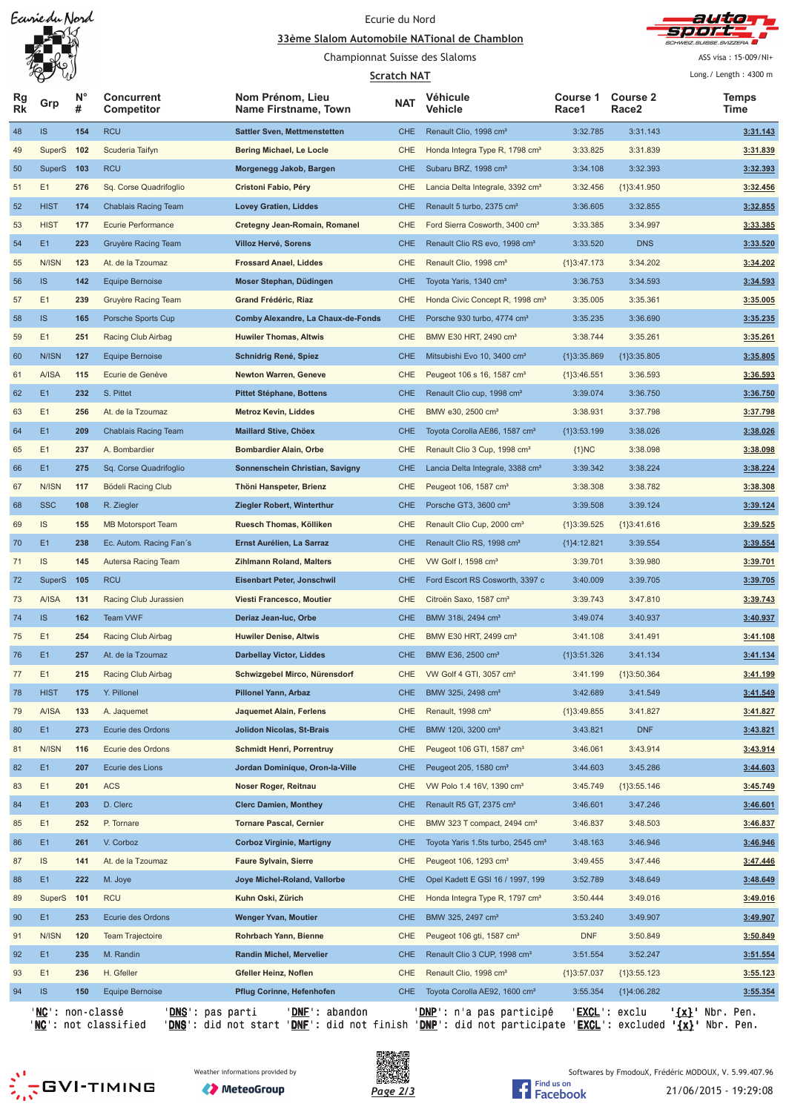Earriedu Nord

# Ecurie du Nord





Championnat Suisse des Slaloms

#### **<u>Scratch NA</u>**

ASS visa: 15-009/NI+

|          | W<br>P                    |         |                                 |                                          | <b>Scratch NAT</b> |                                                |                   |                          | Long./ Length: 4300 m    |
|----------|---------------------------|---------|---------------------------------|------------------------------------------|--------------------|------------------------------------------------|-------------------|--------------------------|--------------------------|
| Rg<br>Rk | Grp                       | N°<br># | <b>Concurrent</b><br>Competitor | Nom Prénom, Lieu<br>Name Firstname, Town | <b>NAT</b>         | Véhicule<br>Vehicle                            | Course 1<br>Race1 | <b>Course 2</b><br>Race2 | Temps<br>Time            |
| 48       | IS                        | 154     | <b>RCU</b>                      | <b>Sattler Sven, Mettmenstetten</b>      | <b>CHE</b>         | Renault Clio, 1998 cm <sup>3</sup>             | 3:32.785          | 3:31.143                 | 3:31.143                 |
| 49       | SuperS                    | 102     | Scuderia Taifyn                 | Bering Michael, Le Locle                 | CHE                | Honda Integra Type R, 1798 cm <sup>3</sup>     | 3:33.825          | 3:31.839                 | 3:31.839                 |
| 50       | SuperS                    | 103     | <b>RCU</b>                      | Morgenegg Jakob, Bargen                  | <b>CHE</b>         | Subaru BRZ, 1998 cm <sup>3</sup>               | 3:34.108          | 3:32.393                 | 3:32.393                 |
| 51       | E1                        | 276     | Sq. Corse Quadrifoglio          | Cristoni Fabio, Péry                     | CHE                | Lancia Delta Integrale, 3392 cm <sup>3</sup>   | 3:32.456          | ${1}3:41.950$            | 3:32.456                 |
| 52       | <b>HIST</b>               | 174     | <b>Chablais Racing Team</b>     | <b>Lovey Gratien, Liddes</b>             | <b>CHE</b>         | Renault 5 turbo, 2375 cm <sup>3</sup>          | 3:36.605          | 3:32.855                 | 3:32.855                 |
| 53       | <b>HIST</b>               | 177     | Ecurie Performance              | <b>Cretegny Jean-Romain, Romanel</b>     | CHE                | Ford Sierra Cosworth, 3400 cm <sup>3</sup>     | 3:33.385          | 3:34.997                 | 3:33.385                 |
| 54       | E1                        | 223     | Gruyère Racing Team             | Villoz Hervé, Sorens                     | <b>CHE</b>         | Renault Clio RS evo, 1998 cm <sup>3</sup>      | 3:33.520          | <b>DNS</b>               | 3:33.520                 |
| 55       | N/ISN                     | 123     | At. de la Tzoumaz               | <b>Frossard Anael, Liddes</b>            | CHE                | Renault Clio, 1998 cm <sup>3</sup>             | ${1}3:47.173$     | 3:34.202                 | 3:34.202                 |
| 56       | IS.                       | 142     | <b>Equipe Bernoise</b>          | Moser Stephan, Düdingen                  | <b>CHE</b>         | Toyota Yaris, 1340 cm <sup>3</sup>             | 3:36.753          | 3:34.593                 | 3:34.593                 |
| 57       | E1                        | 239     | Gruyère Racing Team             | Grand Frédéric, Riaz                     | CHE                | Honda Civic Concept R, 1998 cm <sup>3</sup>    | 3:35.005          | 3:35.361                 | 3:35.005                 |
| 58       | <b>IS</b>                 | 165     | Porsche Sports Cup              | Comby Alexandre, La Chaux-de-Fonds       | <b>CHE</b>         | Porsche 930 turbo, 4774 cm <sup>3</sup>        | 3:35.235          | 3:36.690                 | 3:35.235                 |
| 59       | E1                        | 251     | Racing Club Airbag              | <b>Huwiler Thomas, Altwis</b>            | CHE                | BMW E30 HRT, 2490 cm <sup>3</sup>              | 3:38.744          | 3:35.261                 | 3:35.261                 |
| 60       | <b>N/ISN</b>              | 127     | <b>Equipe Bernoise</b>          | Schnidrig René, Spiez                    | <b>CHE</b>         | Mitsubishi Evo 10, 3400 cm <sup>3</sup>        | ${1}3:35.869$     | ${1}3:35.805$            | 3:35.805                 |
| 61       | A/ISA                     | 115     | Ecurie de Genève                | <b>Newton Warren, Geneve</b>             | CHE                | Peugeot 106 s 16, 1587 cm <sup>3</sup>         | ${1}3:46.551$     | 3:36.593                 | 3:36.593                 |
| 62       | E1                        | 232     | S. Pittet                       | <b>Pittet Stéphane, Bottens</b>          | <b>CHE</b>         | Renault Clio cup, 1998 cm <sup>3</sup>         | 3:39.074          | 3:36.750                 | 3:36.750                 |
| 63       | E1                        | 256     | At. de la Tzoumaz               | <b>Metroz Kevin, Liddes</b>              | <b>CHE</b>         | BMW e30, 2500 cm <sup>3</sup>                  | 3:38.931          | 3:37.798                 | 3:37.798                 |
| 64       | E1                        | 209     | <b>Chablais Racing Team</b>     | <b>Maillard Stive, Chöex</b>             | <b>CHE</b>         | Toyota Corolla AE86, 1587 cm <sup>3</sup>      | ${1}3:53.199$     | 3:38.026                 | 3:38.026                 |
| 65       | E1                        | 237     | A. Bombardier                   | <b>Bombardier Alain, Orbe</b>            | <b>CHE</b>         | Renault Clio 3 Cup, 1998 cm <sup>3</sup>       | ${1}NC$           | 3:38.098                 | 3:38.098                 |
| 66       | E1                        | 275     | Sq. Corse Quadrifoglio          | Sonnenschein Christian, Savigny          | <b>CHE</b>         | Lancia Delta Integrale, 3388 cm <sup>3</sup>   | 3:39.342          | 3:38.224                 | 3:38.224                 |
| 67       | N/ISN                     | 117     | Bödeli Racing Club              | Thöni Hanspeter, Brienz                  | CHE                | Peugeot 106, 1587 cm <sup>3</sup>              | 3:38.308          | 3:38.782                 | 3:38.308                 |
| 68       | <b>SSC</b>                | 108     | R. Ziegler                      | Ziegler Robert, Winterthur               | <b>CHE</b>         | Porsche GT3, 3600 cm <sup>3</sup>              | 3:39.508          | 3:39.124                 | 3:39.124                 |
| 69       | IS                        | 155     | <b>MB Motorsport Team</b>       | Ruesch Thomas, Kölliken                  | CHE                | Renault Clio Cup, 2000 cm <sup>3</sup>         | ${1}3:39.525$     | ${1}3:41.616$            | 3:39.525                 |
| 70       | E1                        | 238     | Ec. Autom. Racing Fan's         | Ernst Aurélien, La Sarraz                | <b>CHE</b>         | Renault Clio RS, 1998 cm <sup>3</sup>          | ${1}4:12.821$     | 3:39.554                 | 3:39.554                 |
| 71       | IS                        | 145     | Autersa Racing Team             | Zihlmann Roland, Malters                 | CHE                | VW Golf I, 1598 cm <sup>3</sup>                | 3:39.701          | 3:39.980                 | 3:39.701                 |
| 72       | <b>SuperS</b>             | 105     | <b>RCU</b>                      | <b>Eisenbart Peter, Jonschwil</b>        | <b>CHE</b>         | Ford Escort RS Cosworth, 3397 c                | 3:40.009          | 3:39.705                 | 3:39.705                 |
| 73       | <b>A/ISA</b>              | 131     | Racing Club Jurassien           | Viesti Francesco, Moutier                | CHE                | Citroën Saxo, 1587 cm <sup>3</sup>             | 3:39.743          | 3:47.810                 | 3:39.743                 |
| 74       | IS.                       | 162     | <b>Team VWF</b>                 | Deriaz Jean-luc, Orbe                    | <b>CHE</b>         | BMW 318i, 2494 cm <sup>3</sup>                 | 3:49.074          | 3:40.937                 | 3:40.937                 |
| 75       | E1                        | 254     | Racing Club Airbag              | <b>Huwiler Denise, Altwis</b>            | <b>CHE</b>         | BMW E30 HRT, 2499 cm <sup>3</sup>              | 3:41.108          | 3:41.491                 | 3:41.108                 |
| 76       | E1                        | 257     | At. de la Tzoumaz               | <b>Darbellay Victor, Liddes</b>          | <b>CHE</b>         | BMW E36, 2500 cm <sup>3</sup>                  | ${1}3:51.326$     | 3:41.134                 | 3:41.134                 |
| 77       | E1                        | 215     | Racing Club Airbag              | Schwizgebel Mirco, Nürensdorf            | CHE                | VW Golf 4 GTI, 3057 cm <sup>3</sup>            | 3:41.199          | ${1}3:50.364$            | 3:41.199                 |
| 78       | <b>HIST</b>               | 175     | Y. Pillonel                     | <b>Pillonel Yann, Arbaz</b>              | <b>CHE</b>         | BMW 325i, 2498 cm <sup>3</sup>                 | 3:42.689          | 3:41.549                 | 3:41.549                 |
| 79       | <b>A/ISA</b>              | 133     | A. Jaquemet                     | <b>Jaquemet Alain, Ferlens</b>           | CHE                | Renault, 1998 cm <sup>3</sup>                  | ${1}3:49.855$     | 3:41.827                 | 3:41.827                 |
| 80       | E1                        | 273     | Ecurie des Ordons               | <b>Jolidon Nicolas, St-Brais</b>         | <b>CHE</b>         | BMW 120i, 3200 cm <sup>3</sup>                 | 3:43.821          | <b>DNF</b>               | 3:43.821                 |
| 81       | N/ISN                     | 116     | Ecurie des Ordons               | <b>Schmidt Henri, Porrentruy</b>         | CHE                | Peugeot 106 GTI, 1587 cm <sup>3</sup>          | 3:46.061          | 3:43.914                 | 3:43.914                 |
| 82       | E1                        | 207     | Ecurie des Lions                | Jordan Dominique, Oron-la-Ville          | <b>CHE</b>         | Peugeot 205, 1580 cm <sup>3</sup>              | 3:44.603          | 3:45.286                 | 3:44.603                 |
| 83       | E1                        | 201     | <b>ACS</b>                      | Noser Roger, Reitnau                     | CHE                | VW Polo 1.4 16V, 1390 cm <sup>3</sup>          | 3:45.749          | ${1}3:55.146$            | 3:45.749                 |
| 84       | E1                        | 203     | D. Clerc                        | <b>Clerc Damien, Monthey</b>             | <b>CHE</b>         | Renault R5 GT, 2375 cm <sup>3</sup>            | 3:46.601          | 3:47.246                 | 3:46.601                 |
| 85       | E1                        | 252     | P. Tornare                      | <b>Tornare Pascal, Cernier</b>           | CHE                | BMW 323 T compact, 2494 cm <sup>3</sup>        | 3:46.837          | 3:48.503                 | 3:46.837                 |
| 86       | E1                        | 261     | V. Corboz                       | <b>Corboz Virginie, Martigny</b>         | <b>CHE</b>         | Toyota Yaris 1.5ts turbo, 2545 cm <sup>3</sup> | 3:48.163          | 3:46.946                 | 3:46.946                 |
| 87       | IS                        | 141     | At. de la Tzoumaz               | <b>Faure Sylvain, Sierre</b>             | CHE                | Peugeot 106, 1293 cm <sup>3</sup>              | 3:49.455          | 3:47.446                 | 3:47.446                 |
| 88       | E1                        | 222     | M. Joye                         | Joye Michel-Roland, Vallorbe             | <b>CHE</b>         | Opel Kadett E GSI 16 / 1997, 199               | 3:52.789          | 3:48.649                 | 3:48.649                 |
| 89       | SuperS                    | 101     | <b>RCU</b>                      | Kuhn Oski, Zürich                        | CHE                | Honda Integra Type R, 1797 cm <sup>3</sup>     | 3:50.444          | 3:49.016                 | 3:49.016                 |
| 90       | E1                        | 253     | Ecurie des Ordons               | Wenger Yvan, Moutier                     | <b>CHE</b>         | BMW 325, 2497 cm <sup>3</sup>                  | 3:53.240          | 3:49.907                 | 3:49.907                 |
| 91       | N/ISN                     | 120     | <b>Team Trajectoire</b>         | Rohrbach Yann, Bienne                    | CHE                | Peugeot 106 gti, 1587 cm <sup>3</sup>          | <b>DNF</b>        | 3:50.849                 | 3:50.849                 |
| 92       | E1                        | 235     | M. Randin                       | Randin Michel, Mervelier                 | <b>CHE</b>         | Renault Clio 3 CUP, 1998 cm <sup>3</sup>       | 3:51.554          | 3:52.247                 | 3:51.554                 |
| 93       | E1                        | 236     | H. Gfeller                      | Gfeller Heinz, Noflen                    | CHE                | Renault Clio, 1998 cm <sup>3</sup>             | ${1}3:57.037$     | ${1}3:55.123$            | 3:55.123                 |
| 94       | IS                        | 150     | <b>Equipe Bernoise</b>          | Pflug Corinne, Hefenhofen                | <b>CHE</b>         | Toyota Corolla AE92, 1600 cm <sup>3</sup>      | 3:55.354          | ${1}4:06.282$            | 3:55.354                 |
|          | ' <b>NC</b> ': non-classé |         | ' <b>DNS</b> ': pas parti       | ' <b>DNF</b> ': abandon                  |                    | ' <u>DNP</u> ': n'a pas participé              |                   | 'EXCL': exclu            | ' <u>{x}</u> ' Nbr. Pen. |
|          |                           |         |                                 |                                          |                    |                                                |                   |                          |                          |

'<u>NC</u>': not classified '<u>DNS</u>': did not start '<u>DNF</u>': did not finish '<u>DNP</u>': did not participate '<u>EXCL</u>': excluded **'<u>{x}</u>'** Nbr. Pen.





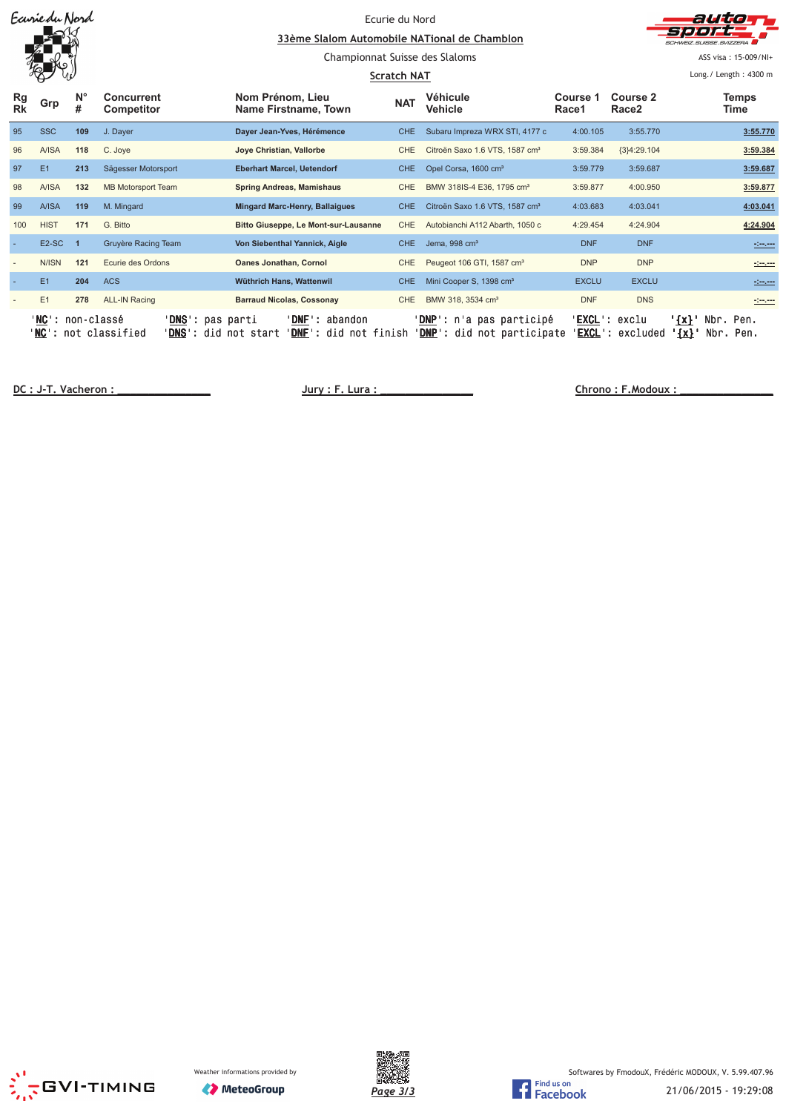|                 | Ecurie du Nord             |                  |                                                                  | 33ème Slalom Automobile NATional de Chamblon<br>Championnat Suisse des Slaloms | Ecurie du Nord<br><b>Scratch NAT</b> |                                                                          |                   |                                      | althia<br>CHWEIZ SUISSE SVIZZERA<br>ASS visa: 15-009/NI+<br>Long./ Length: 4300 m |  |  |
|-----------------|----------------------------|------------------|------------------------------------------------------------------|--------------------------------------------------------------------------------|--------------------------------------|--------------------------------------------------------------------------|-------------------|--------------------------------------|-----------------------------------------------------------------------------------|--|--|
| Rg<br><b>Rk</b> | Grp                        | $N^{\circ}$<br># | <b>Concurrent</b><br>Competitor                                  | Nom Prénom, Lieu<br>Name Firstname, Town                                       | <b>NAT</b>                           | Véhicule<br><b>Vehicle</b>                                               | Course 1<br>Race1 | <b>Course 2</b><br>Race <sub>2</sub> | <b>Temps</b><br><b>Time</b>                                                       |  |  |
| 95              | <b>SSC</b>                 | 109              | J. Dayer                                                         | Dayer Jean-Yves, Hérémence                                                     | <b>CHE</b>                           | Subaru Impreza WRX STI, 4177 c                                           | 4:00.105          | 3:55.770                             | 3:55.770                                                                          |  |  |
| 96              | A/ISA                      | 118              | C. Joye                                                          | Joye Christian, Vallorbe                                                       | <b>CHE</b>                           | Citroën Saxo 1.6 VTS, 1587 cm <sup>3</sup>                               | 3:59.384          | ${3}4:29.104$                        | 3:59.384                                                                          |  |  |
| 97              | E1                         | 213              | Sägesser Motorsport                                              | <b>Eberhart Marcel, Uetendorf</b>                                              | <b>CHE</b>                           | Opel Corsa, 1600 cm <sup>3</sup>                                         | 3:59.779          | 3:59.687                             | 3:59.687                                                                          |  |  |
| 98              | A/ISA                      | 132              | <b>MB Motorsport Team</b>                                        | <b>Spring Andreas, Mamishaus</b>                                               | <b>CHE</b>                           | BMW 318IS-4 E36, 1795 cm <sup>3</sup>                                    | 3:59.877          | 4:00.950                             | 3:59.877                                                                          |  |  |
| 99              | <b>A/ISA</b>               | 119              | M. Mingard                                                       | <b>Mingard Marc-Henry, Ballaigues</b>                                          | <b>CHE</b>                           | Citroën Saxo 1.6 VTS, 1587 cm <sup>3</sup>                               | 4:03.683          | 4:03.041                             | 4:03.041                                                                          |  |  |
| 100             | <b>HIST</b>                | 171              | G. Bitto                                                         | <b>Bitto Giuseppe, Le Mont-sur-Lausanne</b>                                    | CHE                                  | Autobianchi A112 Abarth, 1050 c                                          | 4:29.454          | 4:24.904                             | 4:24.904                                                                          |  |  |
|                 | E <sub>2</sub> -SC         |                  | Gruyère Racing Team                                              | Von Siebenthal Yannick, Aigle                                                  | CHE.                                 | Jema, 998 cm <sup>3</sup>                                                | <b>DNF</b>        | <b>DNF</b>                           | <u> 1999 - 1999</u>                                                               |  |  |
|                 | N/ISN                      | 121              | Ecurie des Ordons                                                | <b>Oanes Jonathan, Cornol</b>                                                  | <b>CHE</b>                           | Peugeot 106 GTI, 1587 cm <sup>3</sup>                                    | <b>DNP</b>        | <b>DNP</b>                           | $\frac{1}{2}$ and $\frac{1}{2}$                                                   |  |  |
|                 | E1                         | 204              | <b>ACS</b>                                                       | Wüthrich Hans, Wattenwil                                                       | <b>CHE</b>                           | Mini Cooper S, 1398 cm <sup>3</sup>                                      | <b>EXCLU</b>      | <b>EXCLU</b>                         | <u>Simon</u>                                                                      |  |  |
|                 | E1                         | 278              | <b>ALL-IN Racing</b>                                             | <b>Barraud Nicolas, Cossonay</b>                                               | CHE                                  | BMW 318, 3534 cm <sup>3</sup>                                            | <b>DNF</b>        | <b>DNS</b>                           | <b>Simon</b>                                                                      |  |  |
|                 | 'NC': non-classé<br>'NC' : |                  | ' <u>DNS</u> ': pas parti<br><b>DNS</b><br>not classified<br>did | ' <b>DNF</b> ': abandon<br>' <b>DNF':</b> did not finish<br>not start          |                                      | ' <u>DNP</u> ': n'a pas participé<br>' <b>DNP</b> ': did not participate | 'EXCL' :          | ' <b>EXCL</b> ': exclu<br>excluded   | $\{x\}$ '<br>Nbr. Pen.<br>$\{x\}$ '<br>Nbr.<br>Pen.                               |  |  |

 **! "**





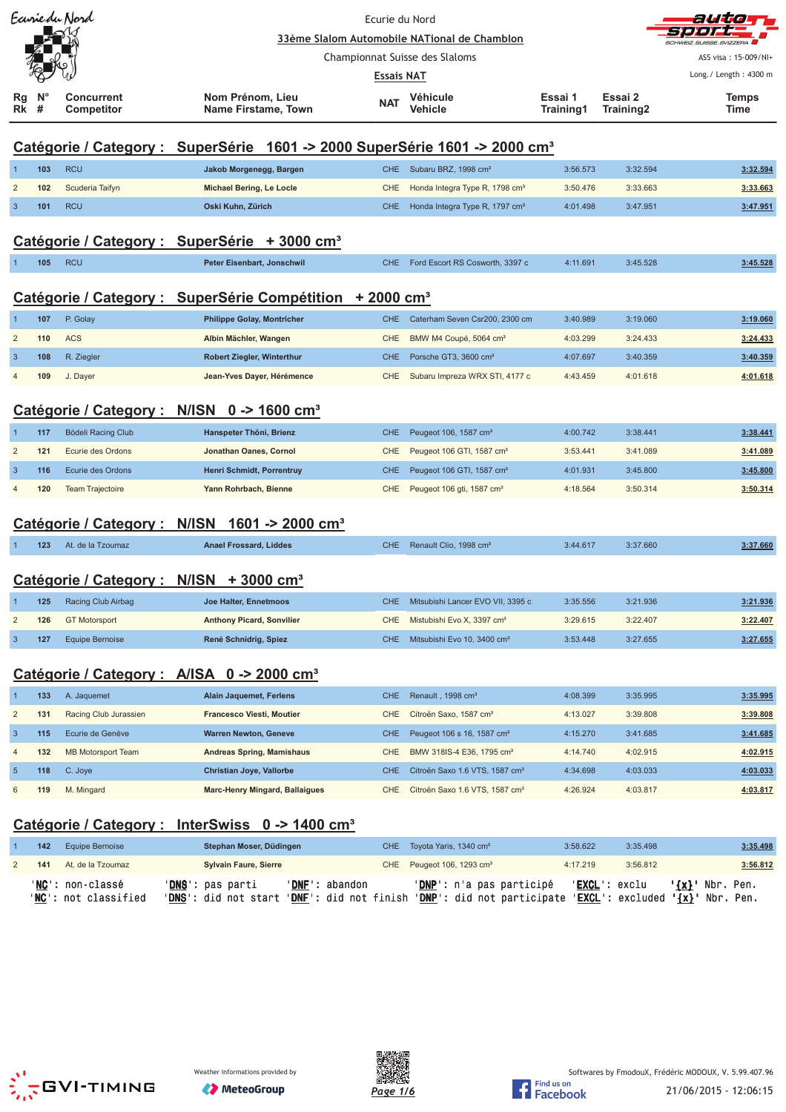|                |                  | Ecurie du Nord                                                                         | Ecurie du Nord                                                                                                                                              |                   |                                              |                      |                      | autio<br>コウソ             |  |  |  |  |
|----------------|------------------|----------------------------------------------------------------------------------------|-------------------------------------------------------------------------------------------------------------------------------------------------------------|-------------------|----------------------------------------------|----------------------|----------------------|--------------------------|--|--|--|--|
|                |                  |                                                                                        |                                                                                                                                                             |                   | 33ème Slalom Automobile NATional de Chamblon |                      |                      |                          |  |  |  |  |
|                |                  |                                                                                        |                                                                                                                                                             |                   | Championnat Suisse des Slaloms               |                      |                      | ASS visa: 15-009/NI+     |  |  |  |  |
|                |                  |                                                                                        |                                                                                                                                                             | <b>Essais NAT</b> |                                              |                      |                      | Long./ Length: 4300 m    |  |  |  |  |
| Rg<br>Rk       | $N^{\circ}$<br># | <b>Concurrent</b><br>Competitor                                                        | Nom Prénom, Lieu<br>Name Firstame, Town                                                                                                                     | <b>NAT</b>        | <b>Véhicule</b><br>Vehicle                   | Essai 1<br>Training1 | Essai 2<br>Training2 | <b>Temps</b><br>Time     |  |  |  |  |
|                |                  | Catégorie / Category : SuperSérie 1601 -> 2000 SuperSérie 1601 -> 2000 cm <sup>3</sup> |                                                                                                                                                             |                   |                                              |                      |                      |                          |  |  |  |  |
| $\mathbf{1}$   | 103              | <b>RCU</b>                                                                             | Jakob Morgenegg, Bargen                                                                                                                                     | <b>CHE</b>        | Subaru BRZ, 1998 cm <sup>3</sup>             | 3:56.573             | 3:32.594             | 3:32.594                 |  |  |  |  |
| $\overline{2}$ | 102              | Scuderia Taifyn                                                                        | <b>Michael Bering, Le Locle</b>                                                                                                                             | CHE               | Honda Integra Type R, 1798 cm <sup>3</sup>   | 3:50.476             | 3:33.663             | 3:33.663                 |  |  |  |  |
| 3              | 101              | <b>RCU</b>                                                                             | Oski Kuhn, Zürich                                                                                                                                           | <b>CHE</b>        | Honda Integra Type R, 1797 cm <sup>3</sup>   | 4:01.498             | 3:47.951             | 3:47.951                 |  |  |  |  |
|                |                  |                                                                                        | Catégorie / Category : SuperSérie + 3000 cm <sup>3</sup>                                                                                                    |                   |                                              |                      |                      |                          |  |  |  |  |
|                | 105              | <b>RCU</b>                                                                             | Peter Eisenbart, Jonschwil                                                                                                                                  | <b>CHE</b>        | Ford Escort RS Cosworth, 3397 c              | 4:11.691             | 3:45.528             | 3:45.528                 |  |  |  |  |
|                |                  |                                                                                        | Catégorie / Category : SuperSérie Compétition + 2000 cm <sup>3</sup>                                                                                        |                   |                                              |                      |                      |                          |  |  |  |  |
| 1              | 107              | P. Golay                                                                               | <b>Philippe Golay, Montricher</b>                                                                                                                           | CHE.              | Caterham Seven Csr200, 2300 cm               | 3:40.989             | 3:19.060             | 3:19.060                 |  |  |  |  |
| $\overline{2}$ | 110              | <b>ACS</b>                                                                             | Albin Mächler, Wangen                                                                                                                                       | CHE               | BMW M4 Coupé, 5064 cm <sup>3</sup>           | 4:03.299             | 3:24.433             | 3:24.433                 |  |  |  |  |
| 3              | 108              | R. Ziegler                                                                             | Robert Ziegler, Winterthur                                                                                                                                  | <b>CHE</b>        | Porsche GT3, 3600 cm <sup>3</sup>            | 4:07.697             | 3:40.359             | 3:40.359                 |  |  |  |  |
|                | 109              | J. Dayer                                                                               | Jean-Yves Dayer, Hérémence                                                                                                                                  | CHE               | Subaru Impreza WRX STI, 4177 c               | 4:43.459             | 4:01.618             | 4:01.618                 |  |  |  |  |
|                |                  | Catégorie / Category : N/ISN 0 -> 1600 cm <sup>3</sup>                                 |                                                                                                                                                             |                   |                                              |                      |                      |                          |  |  |  |  |
|                | 117              | Bödeli Racing Club                                                                     | Hanspeter Thöni, Brienz                                                                                                                                     | <b>CHE</b>        | Peugeot 106, 1587 cm <sup>3</sup>            | 4:00.742             | 3:38.441             | 3:38.441                 |  |  |  |  |
| $\overline{2}$ | 121              | Ecurie des Ordons                                                                      | Jonathan Oanes, Cornol                                                                                                                                      | CHE               | Peugeot 106 GTI, 1587 cm <sup>3</sup>        | 3:53.441             | 3:41.089             | 3:41.089                 |  |  |  |  |
| 3              | 116              | Ecurie des Ordons                                                                      | Henri Schmidt, Porrentruy                                                                                                                                   | <b>CHE</b>        | Peugeot 106 GTI, 1587 cm <sup>3</sup>        | 4:01.931             | 3:45.800             | 3:45.800                 |  |  |  |  |
| 4              | 120              | <b>Team Trajectoire</b>                                                                | Yann Rohrbach, Bienne                                                                                                                                       | CHE               | Peugeot 106 gti, 1587 cm <sup>3</sup>        | 4:18.564             | 3:50.314             | 3:50.314                 |  |  |  |  |
|                |                  |                                                                                        | Catégorie / Category: N/ISN 1601 -> 2000 cm <sup>3</sup>                                                                                                    |                   |                                              |                      |                      |                          |  |  |  |  |
|                | 123              | At. de la Tzoumaz                                                                      | <b>Anael Frossard, Liddes</b>                                                                                                                               | CHE               | Renault Clio, 1998 cm <sup>3</sup>           | 3:44.617             | 3:37.660             | 3:37.660                 |  |  |  |  |
|                |                  | Catégorie / Category : N/ISN + 3000 cm <sup>3</sup>                                    |                                                                                                                                                             |                   |                                              |                      |                      |                          |  |  |  |  |
|                | 125              | Racing Club Airbag                                                                     | Joe Halter, Ennetmoos                                                                                                                                       | <b>CHE</b>        | Mitsubishi Lancer EVO VII, 3395 c            | 3:35.556             | 3:21.936             | 3:21.936                 |  |  |  |  |
| 2              | 126              | <b>GT Motorsport</b>                                                                   | <b>Anthony Picard, Sonvilier</b>                                                                                                                            | <b>CHE</b>        | Mistubishi Evo X, 3397 cm <sup>3</sup>       | 3:29.615             | 3:22.407             | 3:22.407                 |  |  |  |  |
| 3              | 127              | <b>Equipe Bernoise</b>                                                                 | René Schnidrig, Spiez                                                                                                                                       | CHE               | Mitsubishi Evo 10, 3400 cm <sup>3</sup>      | 3:53.448             | 3:27.655             | 3:27.655                 |  |  |  |  |
|                |                  |                                                                                        |                                                                                                                                                             |                   |                                              |                      |                      |                          |  |  |  |  |
|                |                  | Catégorie / Category : A/ISA 0 -> 2000 cm <sup>3</sup>                                 |                                                                                                                                                             |                   |                                              |                      |                      |                          |  |  |  |  |
| 1              | 133              | A. Jaquemet                                                                            | <b>Alain Jaquemet, Ferlens</b>                                                                                                                              | <b>CHE</b>        | Renault, 1998 cm <sup>3</sup>                | 4:08.399             | 3:35.995             | 3:35.995                 |  |  |  |  |
| $\overline{2}$ | 131              | Racing Club Jurassien                                                                  | <b>Francesco Viesti, Moutier</b>                                                                                                                            | CHE               | Citroën Saxo, 1587 cm <sup>3</sup>           | 4:13.027             | 3:39.808             | 3:39.808                 |  |  |  |  |
| 3              | 115              | Ecurie de Genève                                                                       | <b>Warren Newton, Geneve</b>                                                                                                                                | <b>CHE</b>        | Peugeot 106 s 16, 1587 cm <sup>3</sup>       | 4:15.270             | 3:41.685             | 3:41.685                 |  |  |  |  |
| $\overline{4}$ | 132              | <b>MB Motorsport Team</b>                                                              | Andreas Spring, Mamishaus                                                                                                                                   | CHE               | BMW 318IS-4 E36, 1795 cm <sup>3</sup>        | 4:14.740             | 4:02.915             | 4:02.915                 |  |  |  |  |
| 5              | 118              | C. Joye                                                                                | Christian Joye, Vallorbe                                                                                                                                    | <b>CHE</b>        | Citroën Saxo 1.6 VTS, 1587 cm <sup>3</sup>   | 4:34.698             | 4:03.033             | 4:03.033                 |  |  |  |  |
| 6              | 119              | M. Mingard                                                                             | <b>Marc-Henry Mingard, Ballaigues</b>                                                                                                                       | <b>CHE</b>        | Citroën Saxo 1.6 VTS, 1587 cm <sup>3</sup>   | 4:26.924             | 4:03.817             | 4:03.817                 |  |  |  |  |
|                |                  |                                                                                        | <u>Catégorie / Category : InterSwiss 0 -&gt; 1400 cm<sup>3</sup></u>                                                                                        |                   |                                              |                      |                      |                          |  |  |  |  |
|                | 142              | <b>Equipe Bernoise</b>                                                                 | Stephan Moser, Düdingen                                                                                                                                     | <b>CHE</b>        | Toyota Yaris, 1340 cm <sup>3</sup>           | 3:58.622             | 3:35.498             | 3:35.498                 |  |  |  |  |
| 2              | 141              | At. de la Tzoumaz                                                                      | <b>Sylvain Faure, Sierre</b>                                                                                                                                | <b>CHE</b>        | Peugeot 106, 1293 cm <sup>3</sup>            | 4:17.219             | 3:56.812             | 3:56.812                 |  |  |  |  |
|                |                  | ' <mark>NC</mark> ': non-classé<br>' <b>NC</b> ': not classified                       | ' <mark>DNS</mark> ': pas parti<br>'DNE': abandon<br>'DNS': did not start 'DNF': did not finish 'DNP': did not participate 'EXCL': excluded '{x}' Nbr. Pen. |                   | ' <mark>DNP</mark> ': n'a pas participé      |                      | 'EXCL': exclu        | ' <u>{x}</u> ' Nbr. Pen. |  |  |  |  |
|                |                  |                                                                                        |                                                                                                                                                             |                   |                                              |                      |                      |                          |  |  |  |  |
|                |                  |                                                                                        |                                                                                                                                                             |                   |                                              |                      |                      |                          |  |  |  |  |



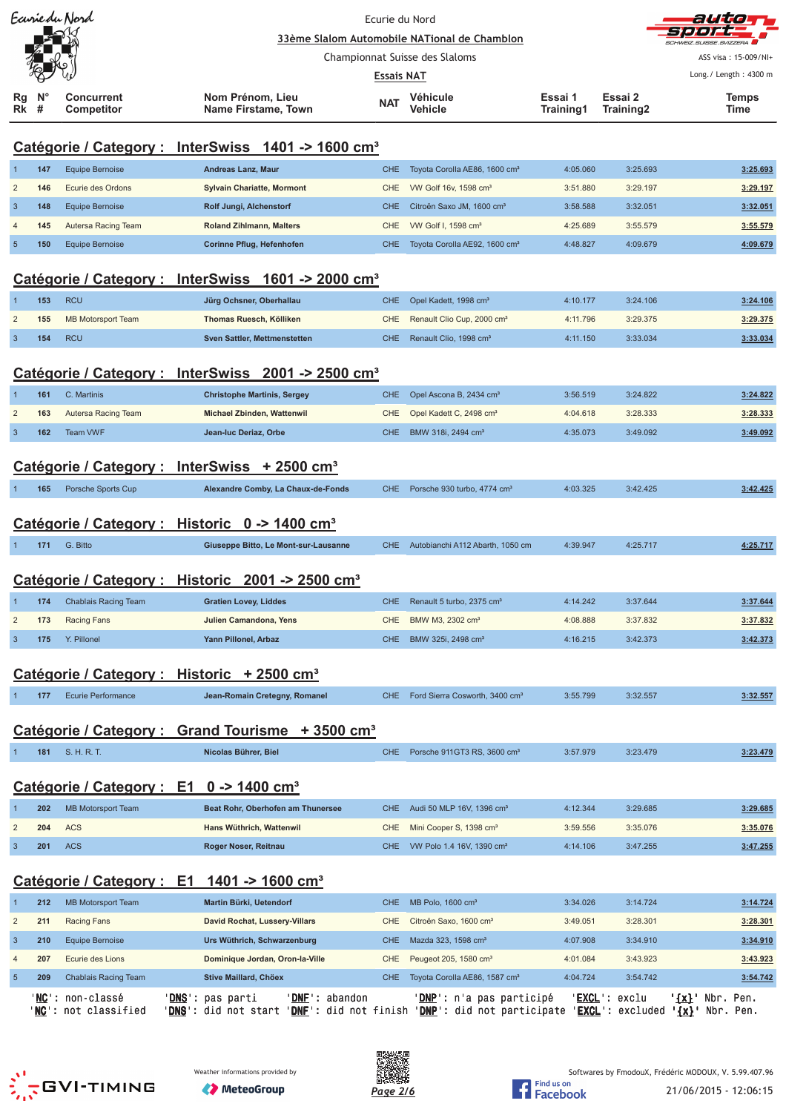|                |                  | Ecurie du Nord                          |                                                                                                                                                                                                                       |                   | auto<br>=) =) =) <del>=</del> +                |                      |                      |                                               |
|----------------|------------------|-----------------------------------------|-----------------------------------------------------------------------------------------------------------------------------------------------------------------------------------------------------------------------|-------------------|------------------------------------------------|----------------------|----------------------|-----------------------------------------------|
|                |                  |                                         |                                                                                                                                                                                                                       |                   | 33ème Slalom Automobile NATional de Chamblon   |                      |                      | HMEIZ SUISSE SVIZZERA                         |
|                |                  |                                         |                                                                                                                                                                                                                       |                   | Championnat Suisse des Slaloms                 |                      |                      | ASS visa: 15-009/NI+<br>Long./ Length: 4300 m |
|                |                  |                                         |                                                                                                                                                                                                                       | <b>Essais NAT</b> |                                                |                      |                      |                                               |
| Rg<br>Rk       | $N^{\circ}$<br># | <b>Concurrent</b><br>Competitor         | Nom Prénom, Lieu<br><b>Name Firstame, Town</b>                                                                                                                                                                        | <b>NAT</b>        | Véhicule<br>Vehicle                            | Essai 1<br>Training1 | Essai 2<br>Training2 | Temps<br>Time                                 |
|                |                  |                                         | Catégorie / Category : InterSwiss 1401 -> 1600 cm <sup>3</sup>                                                                                                                                                        |                   |                                                |                      |                      |                                               |
| 1              | 147              | Equipe Bernoise                         | Andreas Lanz, Maur                                                                                                                                                                                                    | <b>CHE</b>        | Toyota Corolla AE86, 1600 cm <sup>3</sup>      | 4:05.060             | 3:25.693             | 3:25.693                                      |
| $\overline{2}$ | 146              | Ecurie des Ordons                       | <b>Sylvain Chariatte, Mormont</b>                                                                                                                                                                                     | CHE               | VW Golf 16v, 1598 cm <sup>3</sup>              | 3:51.880             | 3:29.197             | 3:29.197                                      |
| 3              | 148              | <b>Equipe Bernoise</b>                  | Rolf Jungi, Alchenstorf                                                                                                                                                                                               | <b>CHE</b>        | Citroën Saxo JM, 1600 cm <sup>3</sup>          | 3:58.588             | 3:32.051             | 3:32.051                                      |
| 4              | 145              | Autersa Racing Team                     | <b>Roland Zihlmann, Malters</b>                                                                                                                                                                                       | <b>CHE</b>        | VW Golf I, 1598 cm <sup>3</sup>                | 4:25.689             | 3:55.579             | 3:55.579                                      |
| $\sqrt{5}$     | 150              | Equipe Bernoise                         | Corinne Pflug, Hefenhofen                                                                                                                                                                                             | CHE.              | Toyota Corolla AE92, 1600 cm <sup>3</sup>      | 4:48.827             | 4:09.679             | 4:09.679                                      |
|                |                  |                                         | Catégorie / Category : InterSwiss 1601 -> 2000 cm <sup>3</sup>                                                                                                                                                        |                   |                                                |                      |                      |                                               |
|                | 153              | <b>RCU</b>                              | Jürg Ochsner, Oberhallau                                                                                                                                                                                              | <b>CHE</b>        | Opel Kadett, 1998 cm <sup>3</sup>              | 4:10.177             | 3:24.106             | 3:24.106                                      |
| $\overline{2}$ | 155              | <b>MB Motorsport Team</b>               | Thomas Ruesch, Kölliken                                                                                                                                                                                               | <b>CHE</b>        | Renault Clio Cup, 2000 cm <sup>3</sup>         | 4:11.796             | 3:29.375             | 3:29.375                                      |
| $\mathbf{3}$   | 154              | <b>RCU</b>                              | Sven Sattler, Mettmenstetten                                                                                                                                                                                          | CHE               | Renault Clio, 1998 cm <sup>3</sup>             | 4:11.150             | 3:33.034             | 3:33.034                                      |
|                |                  |                                         | Catégorie / Category : InterSwiss 2001 -> 2500 cm <sup>3</sup>                                                                                                                                                        |                   |                                                |                      |                      |                                               |
| 1              | 161              | C. Martinis                             | <b>Christophe Martinis, Sergey</b>                                                                                                                                                                                    | <b>CHE</b>        | Opel Ascona B, 2434 cm <sup>3</sup>            | 3:56.519             | 3:24.822             | 3:24.822                                      |
| $\overline{2}$ | 163              | Autersa Racing Team                     | Michael Zbinden, Wattenwil                                                                                                                                                                                            | CHE               | Opel Kadett C, 2498 cm <sup>3</sup>            | 4:04.618             | 3:28.333             | 3:28.333                                      |
| 3              | 162              | <b>Team VWF</b>                         | Jean-luc Deriaz, Orbe                                                                                                                                                                                                 | CHE.              | BMW 318i, 2494 cm <sup>3</sup>                 | 4:35.073             | 3:49.092             | 3:49.092                                      |
|                |                  |                                         |                                                                                                                                                                                                                       |                   |                                                |                      |                      |                                               |
|                |                  |                                         | Catégorie / Category : InterSwiss + 2500 cm <sup>3</sup>                                                                                                                                                              |                   |                                                |                      |                      |                                               |
|                | 165              | Porsche Sports Cup                      | Alexandre Comby, La Chaux-de-Fonds                                                                                                                                                                                    | <b>CHE</b>        | Porsche 930 turbo, 4774 cm <sup>3</sup>        | 4:03.325             | 3:42.425             | 3:42.425                                      |
|                |                  |                                         |                                                                                                                                                                                                                       |                   |                                                |                      |                      |                                               |
|                |                  |                                         | Catégorie / Category : Historic 0 -> 1400 cm <sup>3</sup>                                                                                                                                                             |                   |                                                |                      |                      |                                               |
|                | 171              | G. Bitto                                | Giuseppe Bitto, Le Mont-sur-Lausanne                                                                                                                                                                                  | CHE.              | Autobianchi A112 Abarth, 1050 cm               | 4:39.947             | 4:25.717             | 4:25.717                                      |
|                |                  |                                         |                                                                                                                                                                                                                       |                   |                                                |                      |                      |                                               |
|                |                  |                                         | Catégorie / Category : Historic 2001 -> 2500 cm <sup>3</sup>                                                                                                                                                          |                   |                                                |                      |                      |                                               |
|                | 174              | <b>Chablais Racing Team</b>             | <b>Gratien Lovey, Liddes</b>                                                                                                                                                                                          | CHE.              | Renault 5 turbo, 2375 cm <sup>3</sup>          | 4:14.242             | 3:37.644             | 3:37.644                                      |
| 2              | 173              | Racing Fans                             | Julien Camandona, Yens                                                                                                                                                                                                | <b>CHE</b>        | BMW M3, 2302 cm <sup>3</sup>                   | 4:08.888             | 3:37.832             | 3:37.832                                      |
| 3              | 175              | Y. Pillonel                             | Yann Pillonel, Arbaz                                                                                                                                                                                                  | CHE.              | BMW 325i, 2498 cm <sup>3</sup>                 | 4:16.215             | 3:42.373             | 3:42.373                                      |
|                |                  |                                         |                                                                                                                                                                                                                       |                   |                                                |                      |                      |                                               |
|                |                  |                                         | Catégorie / Category : Historic + 2500 cm <sup>3</sup>                                                                                                                                                                |                   |                                                |                      |                      |                                               |
|                | 177              | <b>Ecurie Performance</b>               | Jean-Romain Cretegny, Romanel                                                                                                                                                                                         |                   | CHE Ford Sierra Cosworth, 3400 cm <sup>3</sup> | 3:55.799             | 3:32.557             | 3:32.557                                      |
|                |                  |                                         |                                                                                                                                                                                                                       |                   |                                                |                      |                      |                                               |
|                |                  |                                         | Catégorie / Category : Grand Tourisme + 3500 cm <sup>3</sup>                                                                                                                                                          |                   |                                                |                      |                      |                                               |
|                | 181              | S. H. R. T.                             | Nicolas Bührer, Biel                                                                                                                                                                                                  | CHE.              | Porsche 911GT3 RS, 3600 cm <sup>3</sup>        | 3:57.979             | 3:23.479             | 3:23.479                                      |
|                |                  |                                         |                                                                                                                                                                                                                       |                   |                                                |                      |                      |                                               |
|                |                  |                                         | Catégorie / Category : E1 0 -> 1400 cm <sup>3</sup>                                                                                                                                                                   |                   |                                                |                      |                      |                                               |
|                | 202              | <b>MB Motorsport Team</b>               | Beat Rohr, Oberhofen am Thunersee                                                                                                                                                                                     | <b>CHE</b>        | Audi 50 MLP 16V, 1396 cm <sup>3</sup>          | 4:12.344             | 3:29.685             | 3:29.685                                      |
| 2              | 204              | <b>ACS</b>                              | Hans Wüthrich, Wattenwil                                                                                                                                                                                              | CHE               | Mini Cooper S, 1398 cm <sup>3</sup>            | 3:59.556             | 3:35.076             | 3:35.076                                      |
| 3              | 201              | <b>ACS</b>                              | Roger Noser, Reitnau                                                                                                                                                                                                  | CHE.              | VW Polo 1.4 16V, 1390 cm <sup>3</sup>          | 4:14.106             | 3:47.255             | 3:47.255                                      |
|                |                  |                                         | Catégorie / Category : E1 1401 -> 1600 cm <sup>3</sup>                                                                                                                                                                |                   |                                                |                      |                      |                                               |
| 1              | 212              | <b>MB Motorsport Team</b>               | Martin Bürki, Uetendorf                                                                                                                                                                                               | <b>CHE</b>        | MB Polo, 1600 cm <sup>3</sup>                  | 3:34.026             | 3:14.724             | 3:14.724                                      |
| 2              | 211              | Racing Fans                             | David Rochat, Lussery-Villars                                                                                                                                                                                         | CHE               | Citroën Saxo, 1600 cm <sup>3</sup>             | 3:49.051             | 3:28.301             | 3:28.301                                      |
| 3              | 210              | Equipe Bernoise                         | Urs Wüthrich, Schwarzenburg                                                                                                                                                                                           | CHE               | Mazda 323, 1598 cm <sup>3</sup>                | 4:07.908             | 3:34.910             | 3:34.910                                      |
| 4              | 207              | Ecurie des Lions                        | Dominique Jordan, Oron-la-Ville                                                                                                                                                                                       | CHE               | Peugeot 205, 1580 cm <sup>3</sup>              | 4:01.084             | 3:43.923             | 3:43.923                                      |
| $\sqrt{5}$     | 209              | <b>Chablais Racing Team</b>             | Stive Maillard, Chöex                                                                                                                                                                                                 | CHE.              | Toyota Corolla AE86, 1587 cm <sup>3</sup>      | 4:04.724             | 3:54.742             | 3:54.742                                      |
|                |                  | 'MC': non-classé<br>NC': not classified | ' <u>DNS</u> ' :<br>' <u>DNF</u> ': abandon<br>pas parti<br>' <mark>DNS</mark> ': did not start ' <u>DNF</u> ': did not finish ' <u>DNP</u> ': did not participate ' <u>EXCL</u> ': excluded ' <u>{x}</u> ' Nbr. Pen. |                   | ' <u>DNP</u> ': n'a pas participé              |                      | 'EXCL': exclu        | '{x}' Nbr. Pen.                               |





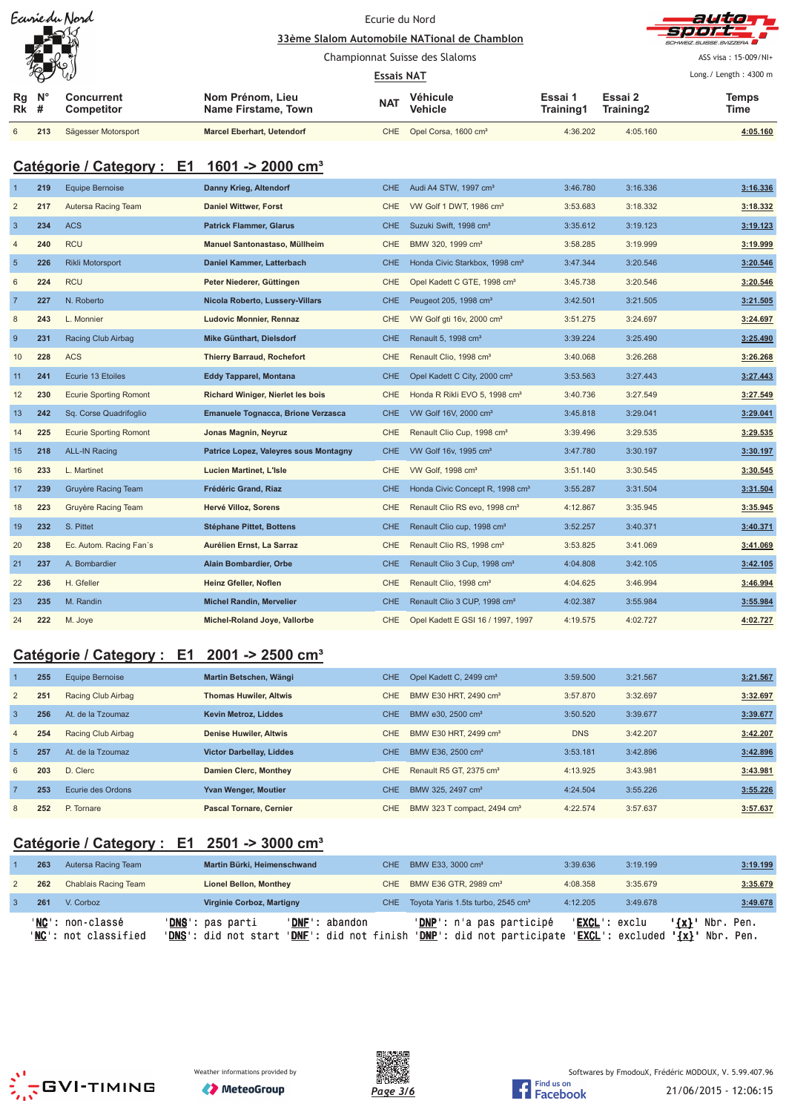|              |               | Eavriedu Nord            |                                         | Ecurie du Nord                 |                                              |                      |                      | auto                              |
|--------------|---------------|--------------------------|-----------------------------------------|--------------------------------|----------------------------------------------|----------------------|----------------------|-----------------------------------|
|              |               | $-\infty$                |                                         |                                | 33ème Slalom Automobile NATional de Chamblon |                      |                      | -500 A<br>SCHWEIZ SUISSE SVIZZERA |
|              |               |                          |                                         | Championnat Suisse des Slaloms |                                              |                      |                      | ASS visa: 15-009/NI+              |
|              | $\mathcal{R}$ |                          |                                         | <b>Essais NAT</b>              |                                              |                      |                      | Long. / Length: $4300 \text{ m}$  |
| Rg<br>$Rk$ # | $N^{\circ}$   | Concurrent<br>Competitor | Nom Prénom, Lieu<br>Name Firstame, Town | <b>NAT</b>                     | Véhicule<br><b>Vehicle</b>                   | Essai 1<br>Training1 | Essai 2<br>Training2 | <b>Temps</b><br>Time              |
| 6            | 213           | Sägesser Motorsport      | <b>Marcel Eberhart, Uetendorf</b>       |                                | CHE Opel Corsa, 1600 cm <sup>3</sup>         | 4:36.202             | 4:05.160             | 4:05.160                          |

# **Catégorie / Category : E1 1601 -> 2000 cm³**

|                | 219 | <b>Equipe Bernoise</b>        | Danny Krieg, Altendorf                | CHE.       | Audi A4 STW, 1997 cm <sup>3</sup>           | 3:46.780 | 3:16.336 | 3:16.336 |
|----------------|-----|-------------------------------|---------------------------------------|------------|---------------------------------------------|----------|----------|----------|
| $\overline{2}$ | 217 | Autersa Racing Team           | <b>Daniel Wittwer, Forst</b>          | CHE.       | VW Golf 1 DWT, 1986 cm <sup>3</sup>         | 3:53.683 | 3:18.332 | 3:18.332 |
| $\overline{3}$ | 234 | <b>ACS</b>                    | <b>Patrick Flammer, Glarus</b>        | <b>CHE</b> | Suzuki Swift, 1998 cm <sup>3</sup>          | 3:35.612 | 3:19.123 | 3:19.123 |
| $\overline{4}$ | 240 | <b>RCU</b>                    | Manuel Santonastaso, Müllheim         | <b>CHE</b> | BMW 320, 1999 cm <sup>3</sup>               | 3:58.285 | 3:19.999 | 3:19.999 |
| $5\phantom{1}$ | 226 | Rikli Motorsport              | Daniel Kammer, Latterbach             | <b>CHE</b> | Honda Civic Starkbox, 1998 cm <sup>3</sup>  | 3:47.344 | 3:20.546 | 3:20.546 |
| 6              | 224 | <b>RCU</b>                    | Peter Niederer, Güttingen             | <b>CHE</b> | Opel Kadett C GTE, 1998 cm <sup>3</sup>     | 3:45.738 | 3:20.546 | 3:20.546 |
| $\overline{7}$ | 227 | N. Roberto                    | Nicola Roberto, Lussery-Villars       | <b>CHE</b> | Peugeot 205, 1998 cm <sup>3</sup>           | 3:42.501 | 3:21.505 | 3:21.505 |
| $\bf 8$        | 243 | L. Monnier                    | Ludovic Monnier, Rennaz               | <b>CHE</b> | VW Golf gti 16v, 2000 cm <sup>3</sup>       | 3:51.275 | 3:24.697 | 3:24.697 |
| 9              | 231 | Racing Club Airbag            | Mike Günthart, Dielsdorf              | <b>CHE</b> | Renault 5, 1998 cm <sup>3</sup>             | 3:39.224 | 3:25.490 | 3:25.490 |
| 10             | 228 | <b>ACS</b>                    | <b>Thierry Barraud, Rochefort</b>     | CHE        | Renault Clio, 1998 cm <sup>3</sup>          | 3:40.068 | 3:26.268 | 3:26.268 |
| 11             | 241 | Ecurie 13 Etoiles             | <b>Eddy Tapparel, Montana</b>         | CHE.       | Opel Kadett C City, 2000 cm <sup>3</sup>    | 3:53.563 | 3:27.443 | 3:27.443 |
| 12             | 230 | <b>Ecurie Sporting Romont</b> | Richard Winiger, Nierlet les bois     | CHE        | Honda R Rikli EVO 5, 1998 cm <sup>3</sup>   | 3:40.736 | 3:27.549 | 3:27.549 |
| 13             | 242 | Sq. Corse Quadrifoglio        | Emanuele Tognacca, Brione Verzasca    | CHE.       | VW Golf 16V, 2000 cm <sup>3</sup>           | 3:45.818 | 3:29.041 | 3:29.041 |
| 14             | 225 | <b>Ecurie Sporting Romont</b> | Jonas Magnin, Neyruz                  | <b>CHE</b> | Renault Clio Cup, 1998 cm <sup>3</sup>      | 3:39.496 | 3:29.535 | 3:29.535 |
| 15             | 218 | <b>ALL-IN Racing</b>          | Patrice Lopez, Valeyres sous Montagny | CHE.       | VW Golf 16v, 1995 cm <sup>3</sup>           | 3:47.780 | 3:30.197 | 3:30.197 |
| 16             | 233 | L. Martinet                   | Lucien Martinet, L'Isle               | <b>CHE</b> | VW Golf, 1998 cm <sup>3</sup>               | 3:51.140 | 3:30.545 | 3:30.545 |
| 17             | 239 | Gruyère Racing Team           | Frédéric Grand, Riaz                  | CHE        | Honda Civic Concept R, 1998 cm <sup>3</sup> | 3:55.287 | 3:31.504 | 3:31.504 |
| 18             | 223 | Gruyère Racing Team           | Hervé Villoz, Sorens                  | <b>CHE</b> | Renault Clio RS evo, 1998 cm <sup>3</sup>   | 4:12.867 | 3:35.945 | 3:35.945 |
| 19             | 232 | S. Pittet                     | <b>Stéphane Pittet, Bottens</b>       | <b>CHE</b> | Renault Clio cup, 1998 cm <sup>3</sup>      | 3:52.257 | 3:40.371 | 3:40.371 |
| 20             | 238 | Ec. Autom. Racing Fan's       | Aurélien Ernst, La Sarraz             | <b>CHE</b> | Renault Clio RS, 1998 cm <sup>3</sup>       | 3:53.825 | 3:41.069 | 3:41.069 |
| 21             | 237 | A. Bombardier                 | Alain Bombardier, Orbe                | <b>CHE</b> | Renault Clio 3 Cup, 1998 cm <sup>3</sup>    | 4:04.808 | 3:42.105 | 3:42.105 |
| 22             | 236 | H. Gfeller                    | Heinz Gfeller, Noflen                 | CHE        | Renault Clio, 1998 cm <sup>3</sup>          | 4:04.625 | 3:46.994 | 3:46.994 |
| 23             | 235 | M. Randin                     | <b>Michel Randin, Mervelier</b>       | <b>CHE</b> | Renault Clio 3 CUP, 1998 cm <sup>3</sup>    | 4:02.387 | 3:55.984 | 3:55.984 |
| 24             | 222 | M. Joye                       | Michel-Roland Joye, Vallorbe          | <b>CHE</b> | Opel Kadett E GSI 16 / 1997, 1997           | 4:19.575 | 4:02.727 | 4:02.727 |

# **Catégorie / Category : E1 2001 -> 2500 cm³**

|                | 255 | Equipe Bernoise    | Martin Betschen, Wängi          | CHE. | Opel Kadett C, 2499 cm <sup>3</sup>     | 3:59.500   | 3:21.567 | 3:21.567 |
|----------------|-----|--------------------|---------------------------------|------|-----------------------------------------|------------|----------|----------|
| 2              | 251 | Racing Club Airbag | <b>Thomas Huwiler, Altwis</b>   | CHE. | BMW E30 HRT, 2490 cm <sup>3</sup>       | 3:57.870   | 3:32.697 | 3:32.697 |
| $\overline{3}$ | 256 | At. de la Tzoumaz  | <b>Kevin Metroz, Liddes</b>     | CHE. | BMW e30, 2500 cm <sup>3</sup>           | 3:50.520   | 3:39.677 | 3:39.677 |
| $\overline{4}$ | 254 | Racing Club Airbag | <b>Denise Huwiler, Altwis</b>   | CHE. | BMW E30 HRT, 2499 cm <sup>3</sup>       | <b>DNS</b> | 3:42.207 | 3:42.207 |
| -5             | 257 | At. de la Tzoumaz  | <b>Victor Darbellay, Liddes</b> | CHE. | BMW E36, 2500 cm <sup>3</sup>           | 3:53.181   | 3:42.896 | 3:42.896 |
| 6              | 203 | D. Clerc           | <b>Damien Clerc, Monthey</b>    | CHE. | Renault R5 GT, 2375 cm <sup>3</sup>     | 4:13.925   | 3:43.981 | 3:43.981 |
| $\overline{7}$ | 253 | Ecurie des Ordons  | <b>Yvan Wenger, Moutier</b>     | CHE. | BMW 325, 2497 cm <sup>3</sup>           | 4:24.504   | 3:55.226 | 3:55.226 |
| 8              | 252 | P. Tornare         | <b>Pascal Tornare, Cernier</b>  | CHE. | BMW 323 T compact, 2494 cm <sup>3</sup> | 4:22.574   | 3:57.637 | 3:57.637 |

# **Catégorie / Category : E1 2501 -> 3000 cm³**

| 263 | Autersa Racing Team                               | Martin Bürki, Heimenschwand                                                                           | CHE BMW E33, 3000 cm <sup>3</sup>                                      | 3:39.636      | 3:19.199                  | 3:19.199                                          |
|-----|---------------------------------------------------|-------------------------------------------------------------------------------------------------------|------------------------------------------------------------------------|---------------|---------------------------|---------------------------------------------------|
| 262 | Chablais Racing Team                              | <b>Lionel Bellon, Monthey</b>                                                                         | CHE BMW E36 GTR, 2989 cm <sup>3</sup>                                  | 4:08.358      | 3:35.679                  | 3:35.679                                          |
| 261 | V. Corboz                                         | <b>Virginie Corboz, Martigny</b>                                                                      | CHE Toyota Yaris 1.5ts turbo, 2545 cm <sup>3</sup>                     | 4:12.205      | 3:49.678                  | 3:49.678                                          |
|     | 'NC': non-classé<br>' <b>NC</b> ': not classified | ' <b>DNS</b> ': pas parti<br>'DNF': abandon<br>'DNS': did not start<br>' <b>DNF</b> ': did not finish | ' <b>DNP</b> ': n'a pas participé<br><b>'DNP':</b> did not participate | 'EXCL': exclu | ' <b>EXCL</b> ': excluded | $\{x\}$ .<br>Nbr. Pen.<br>$\{x\}$<br>Nbr.<br>Pen. |





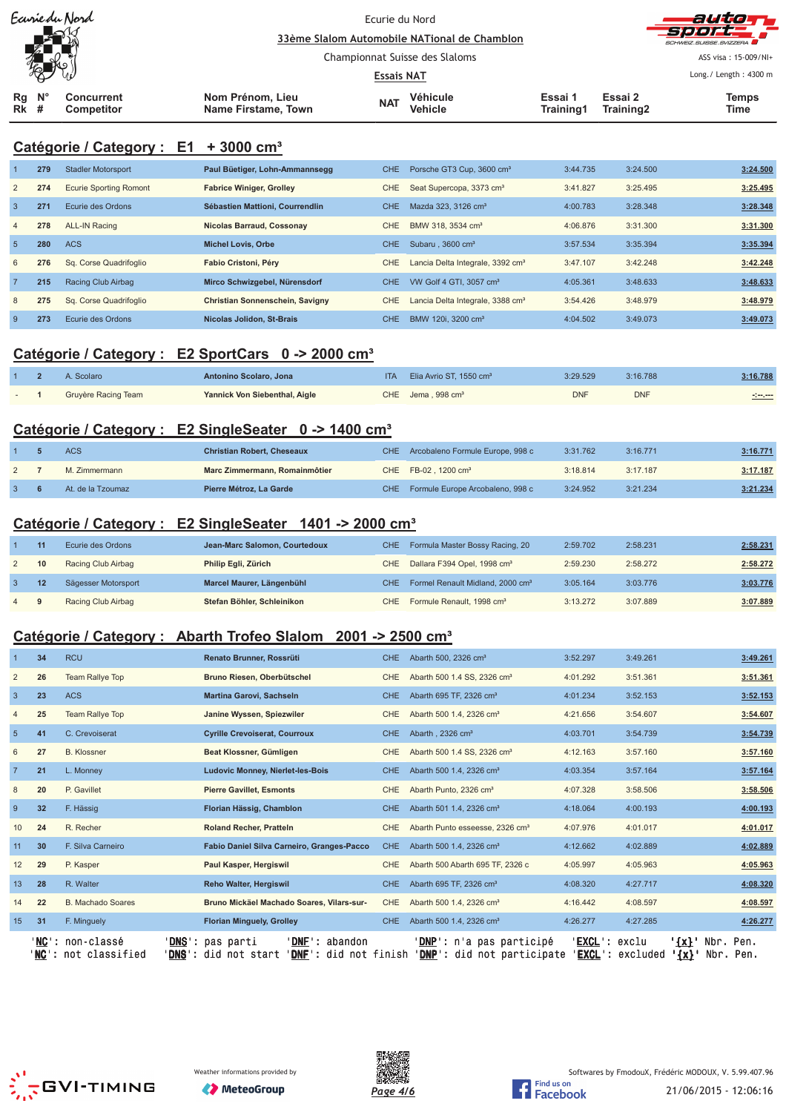| Ecurie du Nord<br>$\blacktriangle \kappa$<br>復 |                                        |                                                     | Ecurie du Nord<br>33ème Slalom Automobile NATional de Chamblon |                            |                      |                                               | autor,<br>-90072<br>SCHWEIZ SUISSE SVIZZERA |  |
|------------------------------------------------|----------------------------------------|-----------------------------------------------------|----------------------------------------------------------------|----------------------------|----------------------|-----------------------------------------------|---------------------------------------------|--|
|                                                |                                        | Championnat Suisse des Slaloms<br><b>Essais NAT</b> |                                                                |                            |                      | ASS visa: 15-009/NI+<br>Long./ Length: 4300 m |                                             |  |
| $N^{\circ}$<br>Rg<br><b>Rk</b> #               | <b>Concurrent</b><br><b>Competitor</b> | Nom Prénom, Lieu<br>Name Firstame, Town             | <b>NAT</b>                                                     | Véhicule<br><b>Vehicle</b> | Essai 1<br>Training1 | Essai 2<br>Training2                          | Temps<br>Time                               |  |

### **Catégorie / Category : E1 + 3000 cm³**

|                | 279 | <b>Stadler Motorsport</b>     | Paul Büetiger, Lohn-Ammannsegg   | <b>CHE</b> | Porsche GT3 Cup, 3600 cm <sup>3</sup>        | 3:44.735 | 3:24.500 | 3:24.500 |
|----------------|-----|-------------------------------|----------------------------------|------------|----------------------------------------------|----------|----------|----------|
| $\overline{2}$ | 274 | <b>Ecurie Sporting Romont</b> | <b>Fabrice Winiger, Grolley</b>  | CHE.       | Seat Supercopa, 3373 cm <sup>3</sup>         | 3:41.827 | 3:25.495 | 3:25.495 |
| $\overline{3}$ | 271 | Ecurie des Ordons             | Sébastien Mattioni, Courrendlin  | CHE.       | Mazda 323, 3126 cm <sup>3</sup>              | 4:00.783 | 3:28.348 | 3:28.348 |
| $\overline{4}$ | 278 | <b>ALL-IN Racing</b>          | <b>Nicolas Barraud, Cossonay</b> | CHE        | BMW 318, 3534 cm <sup>3</sup>                | 4:06.876 | 3:31.300 | 3:31.300 |
| 5              | 280 | <b>ACS</b>                    | <b>Michel Lovis, Orbe</b>        | CHE.       | Subaru, 3600 cm <sup>3</sup>                 | 3:57.534 | 3:35.394 | 3:35.394 |
| 6              | 276 | Sq. Corse Quadrifoglio        | Fabio Cristoni, Pérv             | CHE        | Lancia Delta Integrale, 3392 cm <sup>3</sup> | 3:47.107 | 3:42.248 | 3:42.248 |
| $\overline{7}$ | 215 | Racing Club Airbag            | Mirco Schwizgebel, Nürensdorf    | CHE.       | VW Golf 4 GTI, 3057 cm <sup>3</sup>          | 4:05.361 | 3:48.633 | 3:48.633 |
| 8              | 275 | Sq. Corse Quadrifoglio        | Christian Sonnenschein, Savigny  | <b>CHE</b> | Lancia Delta Integrale, 3388 cm <sup>3</sup> | 3:54.426 | 3:48.979 | 3:48.979 |
| -9             | 273 | Ecurie des Ordons             | Nicolas Jolidon, St-Brais        | CHE.       | BMW 120i, 3200 cm <sup>3</sup>               | 4:04.502 | 3:49.073 | 3:49.073 |

### **Catégorie / Category : E2 SportCars 0 -> 2000 cm³**

|  | A. Scolaro          | Antonino Scolaro, Jona        | <b>ITA</b> | Elia Avrio ST, 1550 cm <sup>3</sup> | 3:29.529   | 3:16.788   | 3:16.788 |
|--|---------------------|-------------------------------|------------|-------------------------------------|------------|------------|----------|
|  | Gruyère Racing Team | Yannick Von Siebenthal, Aigle |            | $CHE$ Jema . 998 $cm3$              | <b>DNF</b> | <b>DNF</b> | -:--.--  |

## **Catégorie / Category : E2 SingleSeater 0 -> 1400 cm³**

|             | <b>ACS</b>        | <b>Christian Robert, Cheseaux</b> | CHE Arcobaleno Formule Europe, 998 c | 3:31.762 | 3:16.771 | 3:16.771 |
|-------------|-------------------|-----------------------------------|--------------------------------------|----------|----------|----------|
| $2^{\circ}$ | M. Zimmermann     | Marc Zimmermann, Romainmôtier     | CHE FB-02, 1200 cm <sup>3</sup>      | 3:18.814 | 3:17.187 | 3:17.187 |
|             | At. de la Tzoumaz | Pierre Métroz, La Garde           | CHE Formule Europe Arcobaleno, 998 c | 3:24.952 | 3:21.234 | 3:21.234 |

## **Catégorie / Category : E2 SingleSeater 1401 -> 2000 cm³**

|     |    | Ecurie des Ordons   | Jean-Marc Salomon, Courtedoux | CHE Formula Master Bossy Racing, 20              | 2:59.702 | 2:58.231 | 2:58.231 |
|-----|----|---------------------|-------------------------------|--------------------------------------------------|----------|----------|----------|
|     | 10 | Racing Club Airbag  | Philip Egli, Zürich           | CHE Dallara F394 Opel, 1998 cm <sup>3</sup>      | 2:59.230 | 2:58.272 | 2:58.272 |
|     |    | Sägesser Motorsport | Marcel Maurer, Längenbühl     | CHE Formel Renault Midland, 2000 cm <sup>3</sup> | 3:05.164 | 3:03.776 | 3:03.776 |
| 4 9 |    | Racing Club Airbag  | Stefan Böhler, Schleinikon    | CHE Formule Renault, 1998 cm <sup>3</sup>        | 3:13.272 | 3:07.889 | 3:07.889 |

## **Catégorie / Category : Abarth Trofeo Slalom 2001 -> 2500 cm³**

|                   | 34     | <b>RCU</b>                                  | Renato Brunner, Rossrüti                                                                            | <b>CHE</b> | Abarth 500, 2326 cm <sup>3</sup>                                       | 3:52.297               | 3:49.261          |                    | 3:49.261               |
|-------------------|--------|---------------------------------------------|-----------------------------------------------------------------------------------------------------|------------|------------------------------------------------------------------------|------------------------|-------------------|--------------------|------------------------|
| $\overline{2}$    | 26     | <b>Team Rallye Top</b>                      | Bruno Riesen, Oberbütschel                                                                          | <b>CHE</b> | Abarth 500 1.4 SS, 2326 cm <sup>3</sup>                                | 4:01.292               | 3:51.361          |                    | 3:51.361               |
| 3                 | 23     | <b>ACS</b>                                  | Martina Garovi, Sachseln                                                                            | <b>CHE</b> | Abarth 695 TF, 2326 cm <sup>3</sup>                                    | 4:01.234               | 3:52.153          |                    | 3:52.153               |
|                   | 25     | <b>Team Rallye Top</b>                      | Janine Wyssen, Spiezwiler                                                                           | <b>CHE</b> | Abarth 500 1.4, 2326 cm <sup>3</sup>                                   | 4:21.656               | 3:54.607          |                    | 3:54.607               |
| $5\phantom{.0}$   | 41     | C. Crevoiserat                              | <b>Cyrille Crevoiserat, Courroux</b>                                                                | <b>CHE</b> | Abarth, 2326 cm <sup>3</sup>                                           | 4:03.701               | 3:54.739          |                    | 3:54.739               |
| 6                 | 27     | <b>B.</b> Klossner                          | Beat Klossner, Gümligen                                                                             | CHE        | Abarth 500 1.4 SS, 2326 cm <sup>3</sup>                                | 4:12.163               | 3:57.160          |                    | 3:57.160               |
| $\overline{7}$    | 21     | L. Monney                                   | Ludovic Monney, Nierlet-les-Bois                                                                    | <b>CHE</b> | Abarth 500 1.4, 2326 cm <sup>3</sup>                                   | 4:03.354               | 3:57.164          |                    | 3:57.164               |
| 8                 | 20     | P. Gavillet                                 | <b>Pierre Gavillet, Esmonts</b>                                                                     | <b>CHE</b> | Abarth Punto, 2326 cm <sup>3</sup>                                     | 4:07.328               | 3:58.506          |                    | 3:58.506               |
| 9                 | 32     | F. Hässig                                   | Florian Hässig, Chamblon                                                                            | <b>CHE</b> | Abarth 501 1.4, 2326 cm <sup>3</sup>                                   | 4:18.064               | 4:00.193          |                    | 4:00.193               |
| 10                | 24     | R. Recher                                   | <b>Roland Recher, Pratteln</b>                                                                      | <b>CHE</b> | Abarth Punto esseesse, 2326 cm <sup>3</sup>                            | 4:07.976               | 4:01.017          |                    | 4:01.017               |
| 11                | 30     | F. Silva Carneiro                           | Fabio Daniel Silva Carneiro, Granges-Pacco                                                          | <b>CHE</b> | Abarth 500 1.4, 2326 cm <sup>3</sup>                                   | 4:12.662               | 4:02.889          |                    | 4:02.889               |
| $12 \overline{ }$ | 29     | P. Kasper                                   | Paul Kasper, Hergiswil                                                                              | <b>CHE</b> | Abarth 500 Abarth 695 TF, 2326 c                                       | 4:05.997               | 4:05.963          |                    | 4:05.963               |
| 13                | 28     | R. Walter                                   | <b>Reho Walter, Hergiswil</b>                                                                       | <b>CHE</b> | Abarth 695 TF, 2326 cm <sup>3</sup>                                    | 4:08.320               | 4:27.717          |                    | 4:08.320               |
| 14                | 22     | <b>B. Machado Soares</b>                    | Bruno Mickäel Machado Soares, Vilars-sur-                                                           | <b>CHE</b> | Abarth 500 1.4, 2326 cm <sup>3</sup>                                   | 4:16.442               | 4:08.597          |                    | 4:08.597               |
| 15                | 31     | F. Minguely                                 | <b>Florian Minguely, Grolley</b>                                                                    | CHE.       | Abarth 500 1.4, 2326 cm <sup>3</sup>                                   | 4:26.277               | 4:27.285          |                    | 4:26.277               |
|                   | ' NC ' | ' <b>NC</b> ': non-classé<br>not classified | ' DNF<br>DNS': pas parti<br>: abandon<br>' DNF '<br><b>DNS':</b> did not start<br>': did not finish |            | ' <b>DNP</b> ': n'a pas participé<br><b>'DNP':</b> did not participate | 'EXCL':<br><b>EXCL</b> | exclu<br>excluded | $\{x\}$ '<br>'{x}' | Nbr. Pen.<br>Nbr. Pen. |





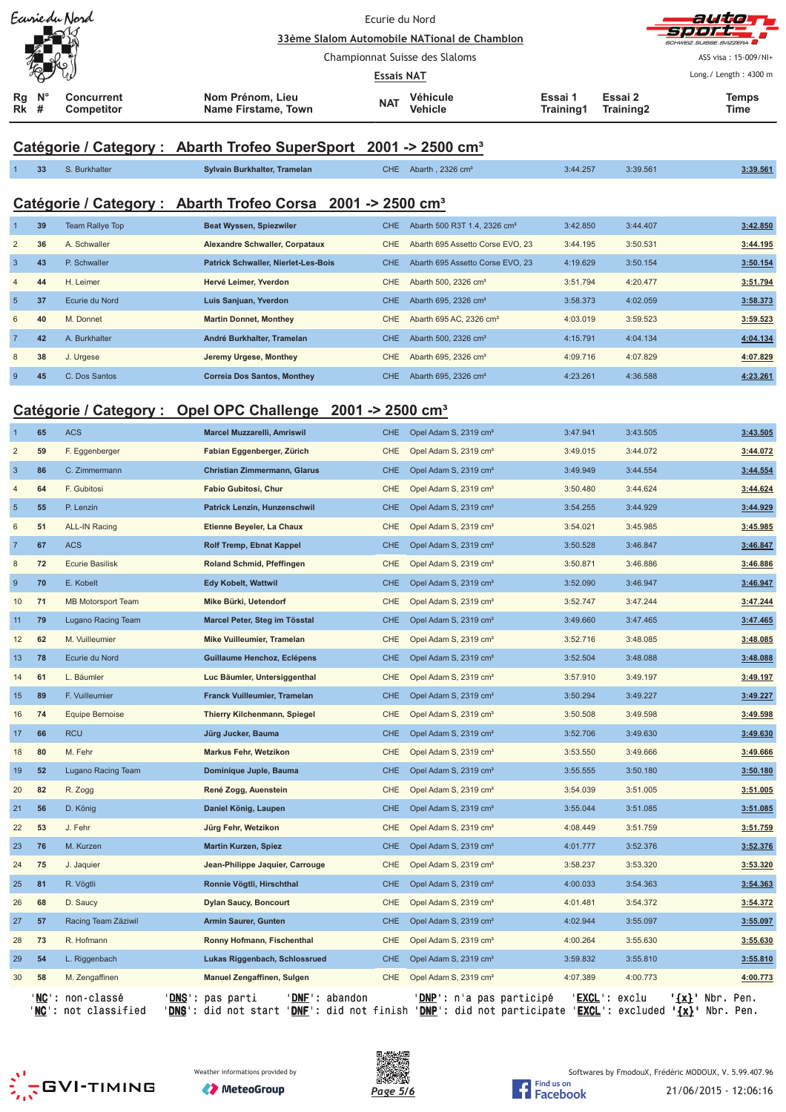| Earriedu Nord                                                              |                                                       | Ecurie du Nord                                     |                      |                                   |
|----------------------------------------------------------------------------|-------------------------------------------------------|----------------------------------------------------|----------------------|-----------------------------------|
| كاكعه<br>LЯ                                                                |                                                       | 33ème Slalom Automobile NATional de Chamblon       |                      | -SPOFF<br>SCHWEIZ SUISSE SVIZZERA |
|                                                                            |                                                       | Championnat Suisse des Slaloms                     |                      |                                   |
|                                                                            |                                                       | <b>Essais NAT</b>                                  |                      | Long./ Length: 4300 m             |
| $\mathsf{N}^\circ$<br>Rq<br><b>Concurrent</b><br><b>Rk</b> #<br>Competitor | Nom Prénom, Lieu<br><b>NAT</b><br>Name Firstame, Town | Véhicule<br>Essai 1<br>Training1<br><b>Vehicle</b> | Essai 2<br>Training2 | <b>Temps</b><br>Time              |

# **Catégorie / Category : Abarth Trofeo SuperSport 2001 -> 2500 cm³**

|                | 33             | S. Burkhalter   | Sylvain Burkhalter, Tramelan                                            | CHE. | Abarth . $2326 \text{ cm}^3$              | 3:44.257 | 3:39.561 | 3:39.561          |
|----------------|----------------|-----------------|-------------------------------------------------------------------------|------|-------------------------------------------|----------|----------|-------------------|
|                |                |                 | Catégorie / Category : Abarth Trofeo Corsa 2001 -> 2500 cm <sup>3</sup> |      |                                           |          |          |                   |
|                | 39             | Team Rallye Top | Beat Wyssen, Spiezwiler                                                 | CHE. | Abarth 500 R3T 1.4, 2326 cm <sup>3</sup>  | 3:42.850 | 3:44.407 | 3:42.850          |
| $\overline{2}$ | 36             | A. Schwaller    | <b>Alexandre Schwaller, Corpataux</b>                                   |      | CHE Abarth 695 Assetto Corse EVO, 23      | 3:44.195 | 3:50.531 | 3:44.195          |
| $\sqrt{2}$     | $\overline{A}$ | D. Caburallar   | Detainly Colombian Minuted Los Dela                                     |      | $CUTE$ Abouth COE Assorts Cases $E1/O$ 00 | 1.10.000 | Q.EQ A E | $2.50 \text{ dB}$ |

| -3             | 43 | P. Schwaller   | <b>Patrick Schwaller, Nierlet-Les-Bois</b> | CHE. | Abarth 695 Assetto Corse EVO, 23    | 4:19.629 | 3:50.154 | 3:50.154 |
|----------------|----|----------------|--------------------------------------------|------|-------------------------------------|----------|----------|----------|
| $\overline{4}$ | 44 | H. Leimer      | Hervé Leimer, Yverdon                      | CHE. | Abarth 500, 2326 cm <sup>3</sup>    | 3:51.794 | 4:20.477 | 3:51.794 |
| -5             | 37 | Ecurie du Nord | Luis Sanjuan, Yverdon                      | CHE. | Abarth 695, 2326 cm <sup>3</sup>    | 3:58.373 | 4:02.059 | 3:58.373 |
| 6              | 40 | M. Donnet      | <b>Martin Donnet, Monthey</b>              | CHE  | Abarth 695 AC, 2326 cm <sup>3</sup> | 4:03.019 | 3:59.523 | 3:59.523 |
|                | 42 | A. Burkhalter  | André Burkhalter, Tramelan                 | CHE. | Abarth 500, 2326 cm <sup>3</sup>    | 4:15.791 | 4:04.134 | 4:04.134 |
| 8              | 38 | J. Urgese      | Jeremy Urgese, Monthey                     | CHE. | Abarth 695, 2326 cm <sup>3</sup>    | 4:09.716 | 4:07.829 | 4:07.829 |
| -9             | 45 | C. Dos Santos  | <b>Correia Dos Santos, Monthey</b>         | CHE. | Abarth 695, 2326 cm <sup>3</sup>    | 4:23.261 | 4:36.588 | 4:23.261 |

# **Catégorie / Category : Opel OPC Challenge 2001 -> 2500 cm³**

| $\overline{1}$ | 65               | <b>ACS</b>                                          | <b>Marcel Muzzarelli, Amriswil</b>                                                          | <b>CHE</b> | Opel Adam S, 2319 cm <sup>3</sup>                               | 3:47.941               | 3:43.505         |                                          | 3:43.505 |
|----------------|------------------|-----------------------------------------------------|---------------------------------------------------------------------------------------------|------------|-----------------------------------------------------------------|------------------------|------------------|------------------------------------------|----------|
| $\overline{2}$ | 59               | F. Eggenberger                                      | Fabian Eggenberger, Zürich                                                                  | <b>CHE</b> | Opel Adam S, 2319 cm <sup>3</sup>                               | 3:49.015               | 3:44.072         |                                          | 3:44.072 |
| $\overline{3}$ | 86               | C. Zimmermann                                       | Christian Zimmermann, Glarus                                                                | <b>CHE</b> | Opel Adam S, 2319 cm <sup>3</sup>                               | 3:49.949               | 3:44.554         |                                          | 3:44.554 |
| $\overline{4}$ | 64               | F. Gubitosi                                         | Fabio Gubitosi, Chur                                                                        | <b>CHE</b> | Opel Adam S, 2319 cm <sup>3</sup>                               | 3:50.480               | 3:44.624         |                                          | 3:44.624 |
| 5              | 55               | P. Lenzin                                           | Patrick Lenzin, Hunzenschwil                                                                | <b>CHE</b> | Opel Adam S, 2319 cm <sup>3</sup>                               | 3:54.255               | 3:44.929         |                                          | 3:44.929 |
| 6              | 51               | <b>ALL-IN Racing</b>                                | Etienne Beyeler, La Chaux                                                                   | <b>CHE</b> | Opel Adam S, 2319 cm <sup>3</sup>                               | 3:54.021               | 3:45.985         |                                          | 3:45.985 |
| $\overline{7}$ | 67               | <b>ACS</b>                                          | Rolf Tremp, Ebnat Kappel                                                                    | <b>CHE</b> | Opel Adam S, 2319 cm <sup>3</sup>                               | 3:50.528               | 3:46.847         |                                          | 3:46.847 |
| 8              | 72               | <b>Ecurie Basilisk</b>                              | Roland Schmid, Pfeffingen                                                                   | CHE        | Opel Adam S, 2319 cm <sup>3</sup>                               | 3:50.871               | 3:46.886         |                                          | 3:46.886 |
| 9              | 70               | E. Kobelt                                           | <b>Edy Kobelt, Wattwil</b>                                                                  | <b>CHE</b> | Opel Adam S, 2319 cm <sup>3</sup>                               | 3:52.090               | 3:46.947         |                                          | 3:46.947 |
| 10             | 71               | <b>MB Motorsport Team</b>                           | Mike Bürki, Uetendorf                                                                       | <b>CHE</b> | Opel Adam S, 2319 cm <sup>3</sup>                               | 3:52.747               | 3:47.244         |                                          | 3:47.244 |
| 11             | 79               | Lugano Racing Team                                  | Marcel Peter, Steg im Tösstal                                                               | <b>CHE</b> | Opel Adam S, 2319 cm <sup>3</sup>                               | 3:49.660               | 3:47.465         |                                          | 3:47.465 |
| 12             | 62               | M. Vuilleumier                                      | Mike Vuilleumier, Tramelan                                                                  | CHE        | Opel Adam S, 2319 cm <sup>3</sup>                               | 3:52.716               | 3:48.085         |                                          | 3:48.085 |
| 13             | 78               | Ecurie du Nord                                      | Guillaume Henchoz, Eclépens                                                                 | <b>CHE</b> | Opel Adam S, 2319 cm <sup>3</sup>                               | 3:52.504               | 3:48.088         |                                          | 3:48.088 |
| 14             | 61               | L. Bäumler                                          | Luc Bäumler, Untersiggenthal                                                                | <b>CHE</b> | Opel Adam S, 2319 cm <sup>3</sup>                               | 3:57.910               | 3:49.197         |                                          | 3:49.197 |
| 15             | 89               | F. Vuilleumier                                      | Franck Vuilleumier, Tramelan                                                                | <b>CHE</b> | Opel Adam S, 2319 cm <sup>3</sup>                               | 3:50.294               | 3:49.227         |                                          | 3:49.227 |
| 16             | 74               | Equipe Bernoise                                     | Thierry Kilchenmann, Spiegel                                                                | CHE        | Opel Adam S, 2319 cm <sup>3</sup>                               | 3:50.508               | 3:49.598         |                                          | 3:49.598 |
| 17             | 66               | <b>RCU</b>                                          | Jürg Jucker, Bauma                                                                          | <b>CHE</b> | Opel Adam S, 2319 cm <sup>3</sup>                               | 3:52.706               | 3:49.630         |                                          | 3:49.630 |
| 18             | 80               | M. Fehr                                             | <b>Markus Fehr, Wetzikon</b>                                                                | CHE        | Opel Adam S, 2319 cm <sup>3</sup>                               | 3:53.550               | 3:49.666         |                                          | 3:49.666 |
| 19             | 52               | Lugano Racing Team                                  | Dominique Juple, Bauma                                                                      | <b>CHE</b> | Opel Adam S, 2319 cm <sup>3</sup>                               | 3:55.555               | 3:50.180         |                                          | 3:50.180 |
| 20             | 82               | R. Zogg                                             | René Zogg, Auenstein                                                                        | CHE        | Opel Adam S, 2319 cm <sup>3</sup>                               | 3:54.039               | 3:51.005         |                                          | 3:51.005 |
| 21             | 56               | D. König                                            | Daniel König, Laupen                                                                        | <b>CHE</b> | Opel Adam S, 2319 cm <sup>3</sup>                               | 3:55.044               | 3:51.085         |                                          | 3:51.085 |
| 22             | 53               | J. Fehr                                             | Jürg Fehr, Wetzikon                                                                         | <b>CHE</b> | Opel Adam S, 2319 cm <sup>3</sup>                               | 4:08.449               | 3:51.759         |                                          | 3:51.759 |
| 23             | 76               | M. Kurzen                                           | <b>Martin Kurzen, Spiez</b>                                                                 | <b>CHE</b> | Opel Adam S, 2319 cm <sup>3</sup>                               | 4:01.777               | 3:52.376         |                                          | 3:52.376 |
| 24             | 75               | J. Jaquier                                          | Jean-Philippe Jaquier, Carrouge                                                             | CHE        | Opel Adam S, 2319 cm <sup>3</sup>                               | 3:58.237               | 3:53.320         |                                          | 3:53.320 |
| 25             | 81               | R. Vögtli                                           | Ronnie Vögtli, Hirschthal                                                                   | <b>CHE</b> | Opel Adam S, 2319 cm <sup>3</sup>                               | 4:00.033               | 3:54.363         |                                          | 3:54.363 |
| 26             | 68               | D. Saucy                                            | <b>Dylan Saucy, Boncourt</b>                                                                | CHE        | Opel Adam S, 2319 cm <sup>3</sup>                               | 4:01.481               | 3:54.372         |                                          | 3:54.372 |
| 27             | 57               | Racing Team Zäziwil                                 | Armin Saurer, Gunten                                                                        | <b>CHE</b> | Opel Adam S, 2319 cm <sup>3</sup>                               | 4:02.944               | 3:55.097         |                                          | 3:55.097 |
| 28             | 73               | R. Hofmann                                          | Ronny Hofmann, Fischenthal                                                                  | CHE        | Opel Adam S, 2319 cm <sup>3</sup>                               | 4:00.264               | 3:55.630         |                                          | 3:55.630 |
| 29             | 54               | L. Riggenbach                                       | Lukas Riggenbach, Schlossrued                                                               | <b>CHE</b> | Opel Adam S, 2319 cm <sup>3</sup>                               | 3:59.832               | 3:55.810         |                                          | 3:55.810 |
| 30             | 58               | M. Zengaffinen                                      | Manuel Zengaffinen, Sulgen                                                                  | <b>CHE</b> | Opel Adam S, 2319 cm <sup>3</sup>                               | 4:07.389               | 4:00.773         |                                          | 4:00.773 |
|                | 'NC' :<br>$NC$ : | non-classé<br><u>' DNS '</u><br>÷<br>not classified | pas parti<br><b>DNF</b> : abandon<br>' <u>DNS</u> ': did not start<br>'DNF': did not finish |            | ' <u>DNP</u> ': n'a pas participé<br>'DNP': did not participate | ' <u>EXCL</u> ': exclu | 'EXCL': excluded | ' <u>{x}</u> ' Nbr.<br>$\{x\}$ Nbr. Pen. | Pen.     |

 $\zeta_{\alpha\beta}^{(1)}$ GVI-TIMING